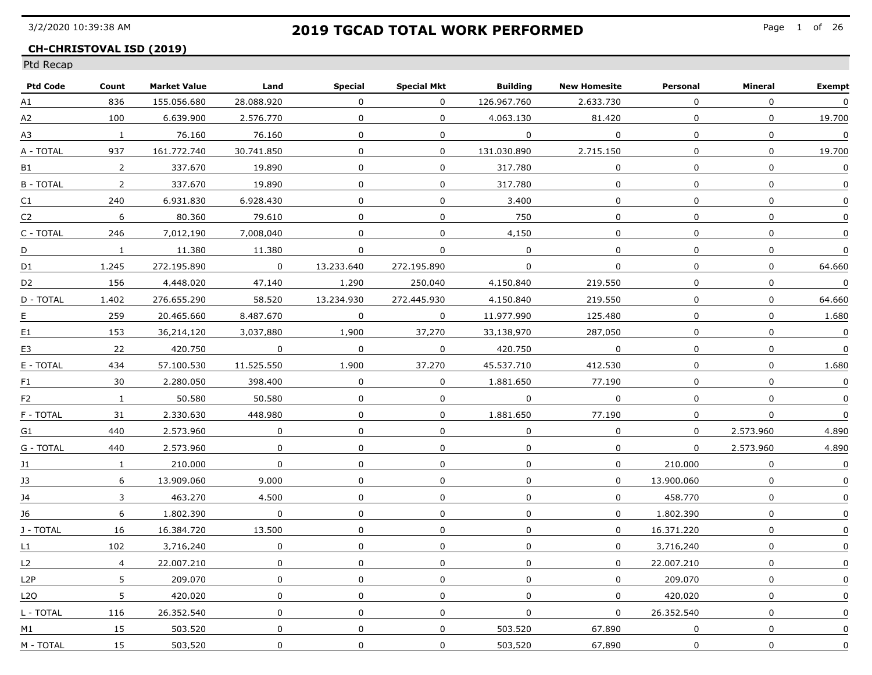### **CH-CHRISTOVAL ISD (2019)**

| <b>Ptd Code</b> | Count          | <b>Market Value</b> | Land         | Special      | <b>Special Mkt</b> | Building       | <b>New Homesite</b> | Personal       | Mineral        | <b>Exempt</b>           |
|-----------------|----------------|---------------------|--------------|--------------|--------------------|----------------|---------------------|----------------|----------------|-------------------------|
| A1              | 836            | 155.056.680         | 28.088.920   | $\Omega$     | $\overline{0}$     | 126.967.760    | 2.633.730           | $\Omega$       | $\mathbf 0$    | $\boldsymbol{0}$        |
| A2              | 100            | 6.639.900           | 2.576.770    | $\Omega$     | $\mathbf{0}$       | 4.063.130      | 81.420              | $\Omega$       | $\mathbf{0}$   | 19.700                  |
| А3              | $\overline{1}$ | 76.160              | 76.160       | $\Omega$     | $\mathbf 0$        | $\overline{a}$ | $\overline{0}$      | $\Omega$       | $\mathbf{0}$   | $\overline{0}$          |
| A - TOTAL       | 937            | 161.772.740         | 30.741.850   | $\mathbf 0$  | $\Omega$           | 131.030.890    | 2.715.150           | $\Omega$       | $\Omega$       | 19.700                  |
| B1              | 2              | 337.670             | 19.890       | 0            | 0                  | 317.780        | $\Omega$            | $\Omega$       | $\mathbf 0$    | $\boldsymbol{0}$        |
| B - TOTAL       | $\overline{2}$ | 337.670             | 19.890       | 0            | $\mathbf 0$        | 317.780        | 0                   | $\mathbf{0}$   | $\mathbf 0$    | 0                       |
| C1              | 240            | 6.931.830           | 6.928.430    | $\mathbf{0}$ | $\mathbf 0$        | 3,400          | $\mathbf{0}$        | $\mathbf{0}$   | $\mathbf 0$    | $\mathbf 0$             |
| C2              | 6              | 80.360              | 79.610       | $\Omega$     | $\mathbf 0$        | 750            | $\Omega$            | $\Omega$       | $\Omega$       | 0                       |
| C - TOTAL       | 246            | 7.012.190           | 7.008.040    | $\Omega$     | $\mathbf 0$        | 4.150          | $\mathbf 0$         | $\Omega$       | $\mathbf{0}$   | 0                       |
| D               | $\mathbf{1}$   | 11.380              | 11.380       | $\Omega$     | $\Omega$           | $\Omega$       | $\Omega$            | $\Omega$       | $\mathbf 0$    | $\Omega$                |
| D1              | 1.245          | 272.195.890         | $\Omega$     | 13.233.640   | 272.195.890        | $\mathbf{0}$   | $\Omega$            | $\Omega$       | $\overline{0}$ | 64.660                  |
| D <sub>2</sub>  | 156            | 4.448.020           | 47.140       | 1.290        | 250.040            | 4.150.840      | 219.550             | 0              | $\mathbf 0$    | $\mathbf{0}$            |
| D - TOTAL       | 1.402          | 276.655.290         | 58.520       | 13.234.930   | 272.445.930        | 4.150.840      | 219.550             | $\Omega$       | $\Omega$       | 64.660                  |
| Е               | 259            | 20.465.660          | 8.487.670    | $\mathbf 0$  | $\mathbf 0$        | 11.977.990     | 125,480             | $\mathbf 0$    | $\Omega$       | 1,680                   |
| E1              | 153            | 36.214.120          | 3.037.880    | 1,900        | 37.270             | 33.138.970     | 287.050             | $\overline{0}$ | $\Omega$       | $\overline{\mathbf{0}}$ |
| E3              | 22             | 420.750             | $\Omega$     | $\Omega$     | $\mathbf 0$        | 420.750        | $\Omega$            | $\Omega$       | $\mathbf 0$    | $\overline{0}$          |
| E - TOTAL       | 434            | 57.100.530          | 11.525.550   | 1.900        | 37.270             | 45.537.710     | 412.530             | $\Omega$       | $\mathbf 0$    | 1.680                   |
| F1              | 30             | 2.280.050           | 398.400      | $\Omega$     | $\Omega$           | 1.881.650      | 77.190              | $\Omega$       | $\Omega$       | $\Omega$                |
| F <sub>2</sub>  | $\mathbf{1}$   | 50.580              | 50.580       | $\Omega$     | $\mathbf 0$        | 0              | $\Omega$            | 0              | $\mathbf 0$    | $\overline{0}$          |
| F - TOTAL       | 31             | 2.330.630           | 448.980      | $\Omega$     | 0                  | 1.881.650      | 77.190              | $\Omega$       | $\Omega$       | 0                       |
| G1              | 440            | 2,573,960           | 0            | $\mathbf{0}$ | $\mathbf{0}$       | $\mathbf 0$    | $\mathbf 0$         | $\Omega$       | 2,573,960      | 4.890                   |
| G - TOTAL       | 440            | 2,573,960           | $\mathbf 0$  | $\mathbf 0$  | $\mathbf 0$        | 0              | 0                   | $\Omega$       | 2,573,960      | 4,890                   |
| 11              | $\mathbf{1}$   | 210.000             | $\mathbf{0}$ | $\mathbf{0}$ | $\Omega$           | $\Omega$       | $\mathbf{0}$        | 210.000        | $\mathbf{0}$   | $\boldsymbol{0}$        |
| 13              | 6              | 13.909.060          | 9.000        | $\Omega$     | 0                  | $\Omega$       | $\Omega$            | 13.900.060     | $\Omega$       | 0                       |
| 14              | 3              | 463.270             | 4.500        | $\Omega$     | 0                  | $\Omega$       | $\Omega$            | 458.770        | $\Omega$       | $\Omega$                |
| 16              | 6              | 1.802.390           | $\Omega$     | $\Omega$     | $\mathbf{0}$       | $\mathbf{0}$   | $\Omega$            | 1.802.390      | $\mathbf 0$    | $\Omega$                |
| J - TOTAL       | 16             | 16.384.720          | 13.500       | $\Omega$     | $\Omega$           | $\mathbf{0}$   | $\mathbf{0}$        | 16.371.220     | $\mathbf{0}$   | 0                       |
| L1              | 102            | 3.716.240           | $\mathbf 0$  | $\mathbf 0$  | $\mathbf 0$        | $\mathbf 0$    | $\mathbf 0$         | 3.716.240      | $\mathbf{0}$   | $\mathbf 0$             |
| L2              | $\overline{4}$ | 22.007.210          | $\mathbf 0$  | $\mathbf{0}$ | $\mathbf{0}$       | $\mathbf{0}$   | $\mathbf 0$         | 22.007.210     | $\mathbf{0}$   | $\Omega$                |
| L2P             | 5              | 209.070             | 0            | $\mathbf 0$  | 0                  | $\mathbf 0$    | $\mathbf 0$         | 209.070        | $\mathbf 0$    | $\mathbf 0$             |
| L2O             | 5              | 420.020             | 0            | 0            | 0                  | $\Omega$       | $\Omega$            | 420.020        | $\Omega$       | 0                       |
| L - TOTAL       | 116            | 26.352.540          | $\Omega$     | $\Omega$     | $\mathbf{0}$       | $\mathbf 0$    | $\Omega$            | 26.352.540     | $\Omega$       | $\Omega$                |
| M1              | 15             | 503.520             | $\Omega$     | $\Omega$     | $\mathbf 0$        | 503.520        | 67.890              | $\Omega$       | $\Omega$       | $\Omega$                |
| M - TOTAL       | 15             | 503.520             | 0            | 0            | $\Omega$           | 503.520        | 67.890              | 0              | $\Omega$       | $\Omega$                |
|                 |                |                     |              |              |                    |                |                     |                |                |                         |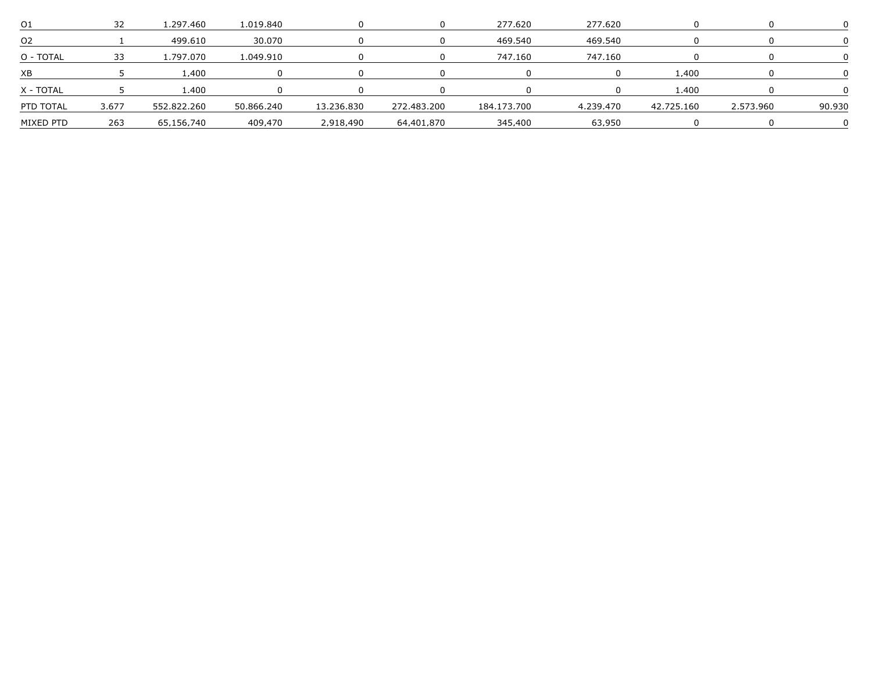| U              |       | .297.460    | 1.019.840  |            |             | 277,620     | 277,620   |            |           |        |
|----------------|-------|-------------|------------|------------|-------------|-------------|-----------|------------|-----------|--------|
| O <sub>2</sub> |       | 499.610     | 30.070     |            |             | 469.540     | 469.540   |            |           |        |
| O - TOTAL      |       | .797.070    | 1 049 910  |            |             | 747.160     | 747.160   |            |           |        |
| XB             |       | .400        |            |            |             |             |           | 1.400      |           |        |
| X - TOTAI      |       | 400         |            |            |             |             |           | 1.400      |           |        |
| PTD TOTAL      | 3.677 | 552.822.260 | 50.866.240 | 13.236.830 | 272.483.200 | 184.173.700 | 4.239.470 | 42.725.160 | 2.573.960 | 90.930 |
| MIXED PTD      | 263   | 65.156.740  | 409.470    | 2.918.490  | 64.401.870  | 345.400     | 63 950    |            |           |        |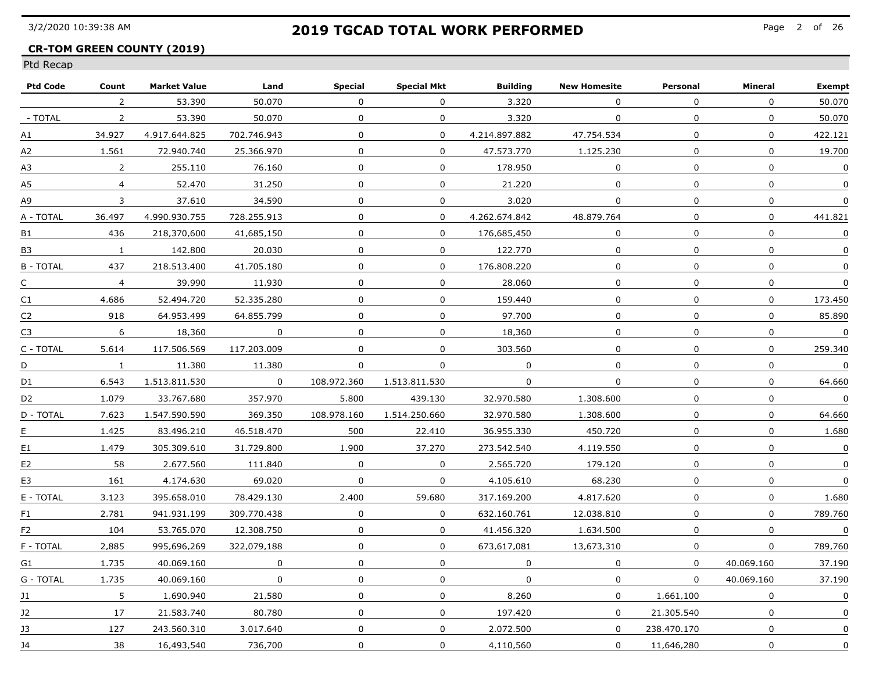### **CR-TOM GREEN COUNTY (2019)**

| Count          | <b>Market Value</b> |             | Special      | <b>Special Mkt</b> |               | <b>New Homesite</b> | Personal        | Mineral          | <b>Exempt</b>    |
|----------------|---------------------|-------------|--------------|--------------------|---------------|---------------------|-----------------|------------------|------------------|
| 2              | 53.390              | 50.070      | $\mathbf 0$  | $\Omega$           | 3.320         | $\mathbf 0$         | $\mathbf 0$     | $\mathbf 0$      | 50.070           |
| $\overline{2}$ | 53.390              | 50.070      | $\Omega$     | $\Omega$           | 3.320         | $\mathbf{0}$        | $\Omega$        | $\mathbf 0$      | 50.070           |
| 34.927         | 4.917.644.825       | 702.746.943 | $\mathbf{0}$ | $\mathbf 0$        | 4.214.897.882 | 47.754.534          | $\Omega$        | $\mathbf 0$      | 422.121          |
| 1.561          | 72.940.740          | 25.366.970  | $\mathbf 0$  | $\mathbf{0}$       | 47.573.770    | 1.125.230           | $\mathbf 0$     | $\boldsymbol{0}$ | 19.700           |
| $\overline{2}$ | 255.110             | 76.160      | 0            | 0                  | 178.950       | $\mathbf{0}$        | 0               | 0                | $\boldsymbol{0}$ |
| $\overline{4}$ | 52,470              | 31,250      | $\mathbf 0$  | 0                  | 21,220        | 0                   | 0               | $\pmb{0}$        | 0                |
| 3              | 37.610              | 34,590      | $\mathbf 0$  | 0                  | 3.020         | $\mathbf 0$         | $\mathbf 0$     | $\pmb{0}$        | $\boldsymbol{0}$ |
| 36.497         | 4.990.930.755       | 728.255.913 | 0            | $\Omega$           | 4.262.674.842 | 48.879.764          | 0               | 0                | 441.821          |
| 436            | 218.370.600         | 41.685.150  | 0            | $\mathbf{0}$       | 176.685.450   | 0                   | $\mathbf 0$     | $\mathbf 0$      | $\Omega$         |
| $\mathbf{1}$   | 142.800             | 20.030      | 0            | $\Omega$           | 122.770       | 0                   | 0               | $\mathbf 0$      | $\mathbf 0$      |
| 437            | 218.513.400         | 41.705.180  | 0            | 0                  | 176.808.220   | 0                   | $\mathbf{0}$    | 0                | $\Omega$         |
| $\overline{4}$ | 39.990              | 11.930      | 0            | 0                  | 28.060        | 0                   | 0               | $\pmb{0}$        | 0                |
| 4.686          | 52.494.720          | 52.335.280  | 0            | $\Omega$           | 159.440       | 0                   | 0               | 0                | 173.450          |
| 918            | 64.953.499          | 64.855.799  | $\mathbf 0$  | 0                  | 97.700        | 0                   | $\mathbf 0$     | $\mathbf 0$      | 85.890           |
| 6              | 18,360              | $\mathbf 0$ | $\mathbf{0}$ | $\Omega$           | 18,360        | $\mathbf 0$         | 0               | $\mathsf{O}$     | $\mathbf 0$      |
| 5.614          | 117.506.569         | 117.203.009 | 0            | 0                  | 303.560       | 0                   | 0               | $\boldsymbol{0}$ | 259.340          |
| $\mathbf{1}$   | 11.380              | 11.380      | 0            | $\mathbf 0$        | $\Omega$      | $\mathbf 0$         | 0               | 0                | $\mathbf 0$      |
| 6.543          | 1.513.811.530       | $\Omega$    | 108.972.360  | 1.513.811.530      | $\Omega$      | $\mathbf 0$         | $\Omega$        | $\pmb{0}$        | 64.660           |
| 1.079          | 33.767.680          | 357.970     | 5.800        | 439.130            | 32.970.580    | 1.308.600           | 0               | $\pmb{0}$        | $\Omega$         |
| 7.623          | 1.547.590.590       | 369.350     | 108.978.160  | 1.514.250.660      | 32.970.580    | 1.308.600           | 0               | $\Omega$         | 64.660           |
| 1.425          | 83,496,210          | 46.518.470  | 500          | 22,410             | 36.955.330    | 450.720             | $\mathbf 0$     | $\mathbf 0$      | 1.680            |
| 1.479          | 305.309.610         | 31.729.800  | 1,900        | 37,270             | 273.542.540   | 4.119.550           | 0               | $\pmb{0}$        | $\pmb{0}$        |
| 58             | 2.677.560           | 111.840     | $\mathbf 0$  | $\mathbf 0$        | 2.565.720     | 179.120             | 0               | 0                | $\Omega$         |
| 161            | 4.174.630           | 69.020      | $\Omega$     | $\mathbf 0$        | 4.105.610     | 68.230              | 0               | 0                | $\Omega$         |
| 3.123          | 395.658.010         | 78.429.130  | 2.400        | 59.680             | 317.169.200   | 4.817.620           | 0               | 0                | 1.680            |
| 2.781          | 941.931.199         | 309.770.438 | $\mathbf 0$  | $\Omega$           | 632.160.761   | 12.038.810          | $\Omega$        | $\mathbf 0$      | 789.760          |
| 104            | 53.765.070          | 12.308.750  | 0            | $\Omega$           | 41.456.320    | 1.634.500           | $\Omega$        | $\mathbf 0$      | $\mathbf 0$      |
| 2.885          | 995.696.269         | 322.079.188 | $\mathbf 0$  | $\mathbf 0$        | 673.617.081   | 13.673.310          | 0               | $\pmb{0}$        | 789.760          |
| 1.735          | 40.069.160          | $\mathbf 0$ | $\mathbf{0}$ | $\mathbf 0$        | $\mathbf{0}$  | $\mathbf 0$         | $\Omega$        | 40.069.160       | 37.190           |
| 1.735          | 40.069.160          | $\mathsf 0$ | $\mathbf 0$  | 0                  | $\mathbf 0$   | 0                   | $\mathbf{0}$    | 40.069.160       | 37.190           |
| 5              | 1.690.940           | 21.580      | 0            | 0                  | 8.260         | $\Omega$            | 1.661.100       | 0                | 0                |
| 17             | 21.583.740          | 80.780      | 0            | $\Omega$           | 197.420       | $\Omega$            | 21.305.540      | $\mathbf 0$      | 0                |
| 127            | 243.560.310         | 3.017.640   | $\mathbf 0$  | $\mathbf 0$        | 2.072.500     | $\mathbf 0$         | 238.470.170     | 0                | $\Omega$         |
| 38             | 16.493.540          | 736.700     | 0            | 0                  | 4.110.560     | 0                   | 11.646.280      | 0                | 0                |
|                |                     |             | Land         |                    |               |                     | <b>Building</b> |                  |                  |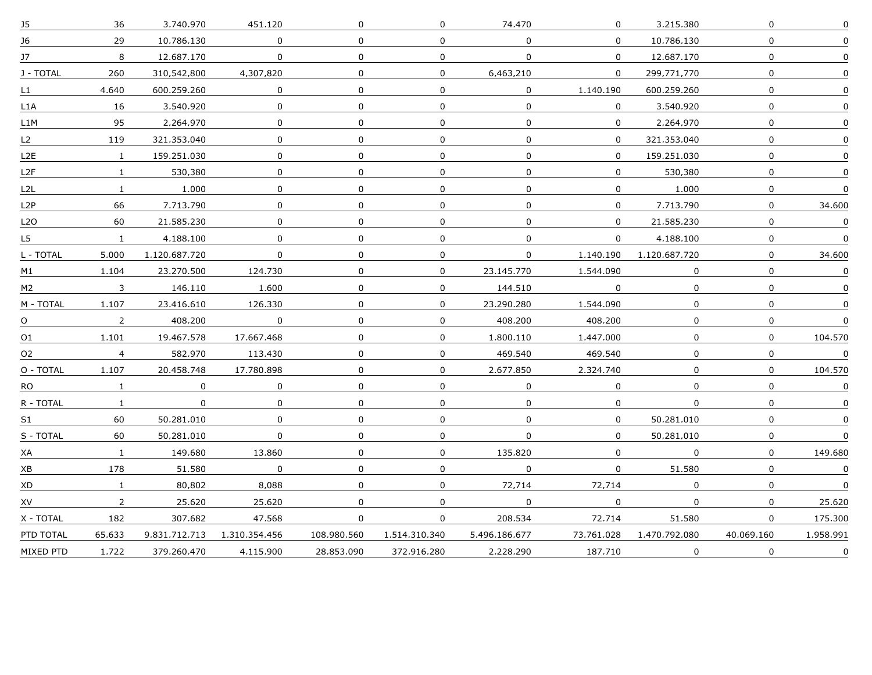| J5                       | 36             | 3.740.970     | 451.120       | $\mathbf 0$  | $\mathbf 0$    | 74,470        | $\mathbf 0$ | 3.215.380     | $\mathbf 0$      | $\pmb{0}$   |
|--------------------------|----------------|---------------|---------------|--------------|----------------|---------------|-------------|---------------|------------------|-------------|
| 16                       | 29             | 10.786.130    | $\Omega$      | $\Omega$     | $\Omega$       | $\Omega$      | $\Omega$    | 10.786.130    | 0                | $\Omega$    |
| $17 -$                   | 8              | 12.687.170    | 0             | $\Omega$     | 0              | $\mathbf{0}$  | $\Omega$    | 12.687.170    | 0                |             |
| J - TOTAL                | 260            | 310.542.800   | 4.307.820     | 0            | $\mathbf{0}$   | 6.463.210     | 0           | 299.771.770   | $\boldsymbol{0}$ | $\Omega$    |
| L1                       | 4.640          | 600.259.260   | 0             | 0            | $\Omega$       | $\Omega$      | 1.140.190   | 600.259.260   | $\boldsymbol{0}$ | $\Omega$    |
| L1A                      | 16             | 3.540.920     | $\Omega$      | $\Omega$     | 0              | $\Omega$      | $\Omega$    | 3.540.920     | 0                |             |
| L1M                      | 95             | 2.264.970     | $\mathbf 0$   | 0            | $\mathbf 0$    | $\mathbf 0$   | $\mathbf 0$ | 2.264.970     | 0                | 0           |
| L2                       | 119            | 321.353.040   | $\mathbf 0$   | $\mathbf 0$  | $\overline{0}$ | $\mathbf{0}$  | $\mathbf 0$ | 321.353.040   | $\mathbf 0$      | $\mathbf 0$ |
| L <sub>2</sub> E         | $\mathbf{1}$   | 159.251.030   | $\Omega$      | $\Omega$     | $\Omega$       | $\Omega$      | $\Omega$    | 159.251.030   | 0                | $\Omega$    |
| L <sub>2</sub> F         | $\mathbf{1}$   | 530.380       | 0             | 0            | 0              | 0             | $\Omega$    | 530.380       | 0                | 0           |
| L2L                      | $\mathbf{1}$   | 1.000         | $\Omega$      | $\Omega$     | 0              | $\mathbf 0$   | $\mathbf 0$ | 1.000         | $\mathbf 0$      | 0           |
| L2P                      | 66             | 7.713.790     | $\Omega$      | 0            | $\mathbf{0}$   | $\Omega$      | $\mathbf 0$ | 7.713.790     | $\mathbf 0$      | 34.600      |
| L <sub>2</sub> O         | 60             | 21.585.230    | 0             | 0            | 0              | 0             | $\Omega$    | 21.585.230    | 0                | $\Omega$    |
| L5                       | $\mathbf{1}$   | 4.188.100     | $\Omega$      | $\Omega$     | $\Omega$       | $\Omega$      | $\Omega$    | 4.188.100     | $\mathbf 0$      | 0           |
| L - TOTAL                | 5,000          | 1.120.687.720 | $\mathbf{0}$  | $\mathbf{0}$ | $\overline{0}$ | $\mathbf 0$   | 1.140.190   | 1.120.687.720 | $\mathbf 0$      | 34,600      |
| M1                       | 1.104          | 23.270.500    | 124.730       | $\Omega$     | $\mathbf 0$    | 23.145.770    | 1.544.090   | $\mathbf 0$   | $\pmb{0}$        | $\mathsf 0$ |
| M2                       | 3              | 146.110       | 1.600         | 0            | 0              | 144.510       | $\Omega$    | 0             | 0                | 0           |
| M - TOTAL                | 1.107          | 23.416.610    | 126.330       | $\Omega$     | $\Omega$       | 23.290.280    | 1.544.090   | $\Omega$      | $\Omega$         | $\Omega$    |
| $\Omega$ <sub>----</sub> | $\overline{2}$ | 408.200       | $\mathbf 0$   | 0            | $\Omega$       | 408.200       | 408.200     | $\Omega$      | $\Omega$         | $\Omega$    |
| 01                       | 1.101          | 19.467.578    | 17.667.468    | 0            | $\mathbf{0}$   | 1.800.110     | 1.447.000   | 0             | 0                | 104.570     |
| 02                       | $\overline{4}$ | 582.970       | 113.430       | 0            | $\mathbf{0}$   | 469.540       | 469.540     | $\Omega$      | $\mathbf 0$      | $\Omega$    |
| O - TOTAL                | 1.107          | 20.458.748    | 17.780.898    | $\mathbf 0$  | $\mathbf 0$    | 2.677.850     | 2.324.740   | $\mathbf 0$   | 0                | 104.570     |
| RO                       | $\mathbf{1}$   | 0             | 0             | $\mathbf{0}$ | $\mathbf 0$    | $\mathbf 0$   | $\mathbf 0$ | $\Omega$      | 0                | $\mathbf 0$ |
| R - TOTAL                | $\mathbf{1}$   | $\Omega$      | 0             | 0            | $\mathbf{0}$   | 0             | 0           | 0             | $\mathbf 0$      | 0           |
| S1                       | 60             | 50.281.010    | $\Omega$      | $\Omega$     | $\Omega$       | $\Omega$      | $\mathbf 0$ | 50.281.010    | $\mathbf 0$      | $\Omega$    |
| S - TOTAL                | 60             | 50.281.010    | $\Omega$      | 0            | 0              | $\Omega$      | $\mathbf 0$ | 50.281.010    | $\mathbf 0$      | $\Omega$    |
| XA                       | $\mathbf{1}$   | 149.680       | 13.860        | 0            | $\mathbf{0}$   | 135.820       | 0           | $\Omega$      | 0                | 149.680     |
| ХB                       | 178            | 51.580        | $\Omega$      | $\Omega$     | $\mathbf 0$    | $\Omega$      | $\Omega$    | 51.580        | 0                | $\Omega$    |
| XD                       | $\mathbf{1}$   | 80.802        | 8.088         | $\Omega$     | $\mathbf 0$    | 72.714        | 72.714      | $\Omega$      | $\mathbf 0$      | $\Omega$    |
| XV                       | $\overline{2}$ | 25.620        | 25.620        | 0            | 0              | 0             | $\mathbf 0$ | 0             | $\pmb{0}$        | 25.620      |
| X - TOTAL                | 182            | 307.682       | 47.568        | 0            | 0              | 208,534       | 72.714      | 51,580        | 0                | 175,300     |
| PTD TOTAL                | 65.633         | 9.831.712.713 | 1.310.354.456 | 108.980.560  | 1.514.310.340  | 5.496.186.677 | 73.761.028  | 1.470.792.080 | 40.069.160       | 1.958.991   |
| MIXED PTD                | 1.722          | 379.260.470   | 4.115.900     | 28.853.090   | 372.916.280    | 2.228.290     | 187.710     | 0             | $\mathbf 0$      | $\Omega$    |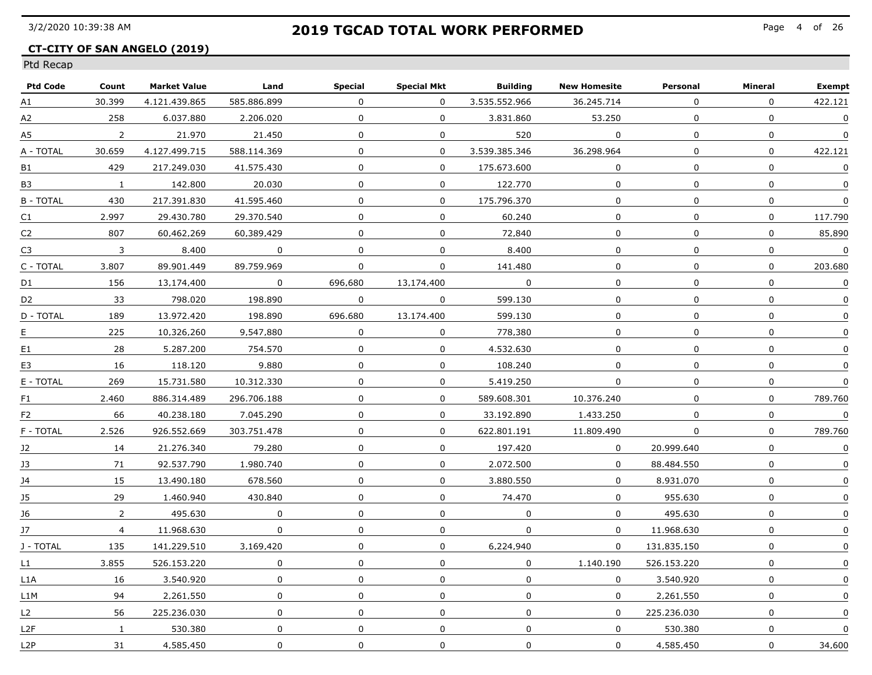### **CT-CITY OF SAN ANGELO (2019)**

| <b>Ptd Code</b>  | Count          | <b>Market Value</b> | Land        | Special      | Special Mkt  | <b>Building</b> | <b>New Homesite</b> | Personal     | Mineral          | <b>Exempt</b>           |
|------------------|----------------|---------------------|-------------|--------------|--------------|-----------------|---------------------|--------------|------------------|-------------------------|
| A1               | 30.399         | 4.121.439.865       | 585.886.899 | $\Omega$     | $\mathbf{0}$ | 3.535.552.966   | 36.245.714          | $\Omega$     | $\Omega$         | 422.121                 |
| A2               | 258            | 6.037.880           | 2.206.020   | $\Omega$     | $\Omega$     | 3.831.860       | 53.250              | $\Omega$     | $\mathbf 0$      | $\mathbf{0}$            |
| A5               | $\overline{2}$ | 21.970              | 21.450      | $\mathbf 0$  | $\mathbf{0}$ | 520             | $\mathbf 0$         | $\Omega$     | $\mathbf 0$      | $\Omega$                |
| A - TOTAL        | 30.659         | 4.127.499.715       | 588.114.369 | $\mathbf 0$  | $\Omega$     | 3.539.385.346   | 36.298.964          | $\Omega$     | $\boldsymbol{0}$ | 422.121                 |
| B1               | 429            | 217.249.030         | 41.575.430  | $\Omega$     | 0            | 175.673.600     | $\Omega$            | $\Omega$     | $\mathbf 0$      | $\boldsymbol{0}$        |
| B3               | $\mathbf{1}$   | 142,800             | 20.030      | $\mathbf 0$  | 0            | 122,770         | $\mathbf 0$         | $\mathbf 0$  | 0                | 0                       |
| <b>B-TOTAL</b>   | 430            | 217.391.830         | 41.595.460  | $\mathbf 0$  | $\mathbf{0}$ | 175.796.370     | $\mathsf{O}$        | $\mathbf 0$  | $\mathbf 0$      | $\boldsymbol{0}$        |
| C1               | 2.997          | 29.430.780          | 29.370.540  | $\Omega$     | $\mathbf{0}$ | 60.240          | $\mathbf 0$         | $\Omega$     | $\Omega$         | 117.790                 |
| C <sub>2</sub>   | 807            | 60.462.269          | 60.389.429  | $\Omega$     | $\Omega$     | 72.840          | $\mathbf 0$         | $\Omega$     | $\mathbf 0$      | 85.890                  |
| C3               | $\overline{3}$ | 8.400               | $\Omega$    | $\Omega$     | $\mathbf{0}$ | 8.400           | $\mathbf 0$         | $\Omega$     | $\mathbf 0$      | $\mathbf 0$             |
| C - TOTAL        | 3.807          | 89.901.449          | 89.759.969  | $\Omega$     | 0            | 141.480         | $\Omega$            | $\Omega$     | 0                | 203.680                 |
| D1               | 156            | 13.174.400          | $\Omega$    | 696.680      | 13.174.400   | $\Omega$        | 0                   | $\Omega$     | $\mathbf 0$      | $\Omega$                |
| D <sub>2</sub>   | 33             | 798.020             | 198.890     | $\Omega$     | $\Omega$     | 599.130         | $\mathbf 0$         | $\Omega$     | $\mathbf 0$      | 0                       |
| D - TOTAL        | 189            | 13.972.420          | 198.890     | 696.680      | 13.174.400   | 599.130         | $\mathsf{O}$        | $\mathbf{0}$ | $\mathbf 0$      | 0                       |
| E                | 225            | 10,326,260          | 9.547.880   | $\mathbf 0$  | $\mathbf 0$  | 778,380         | $\mathsf{O}$        | $\mathbf 0$  | $\mathbf 0$      | 0                       |
| E1               | 28             | 5.287.200           | 754.570     | $\Omega$     | $\mathbf{0}$ | 4.532.630       | 0                   | $\Omega$     | $\boldsymbol{0}$ | $\Omega$                |
| E3               | 16             | 118.120             | 9.880       | $\Omega$     | 0            | 108.240         | $\Omega$            | $\Omega$     | 0                | 0                       |
| E - TOTAL        | 269            | 15.731.580          | 10.312.330  | $\Omega$     | 0            | 5.419.250       | $\Omega$            | $\Omega$     | $\mathbf 0$      | 0                       |
| F1               | 2.460          | 886.314.489         | 296.706.188 | $\Omega$     | $\mathbf{O}$ | 589.608.301     | 10.376.240          | $\Omega$     | $\Omega$         | 789.760                 |
| F2               | 66             | 40.238.180          | 7.045.290   | $\Omega$     | $\mathbf{0}$ | 33.192.890      | 1.433.250           | $\Omega$     | $\mathbf 0$      | $\mathbf 0$             |
| F - TOTAL        | 2,526          | 926.552.669         | 303.751.478 | $\mathbf 0$  | $\mathbf 0$  | 622.801.191     | 11,809,490          | 0            | $\mathbf{0}$     | 789.760                 |
| J2               | 14             | 21.276.340          | 79.280      | $\mathbf 0$  | 0            | 197.420         | $\mathbf 0$         | 20.999.640   | $\mathbf 0$      | $\overline{\mathbf{0}}$ |
| 13               | 71             | 92.537.790          | 1.980.740   | $\Omega$     | 0            | 2.072.500       | $\Omega$            | 88.484.550   | $\Omega$         | $\Omega$                |
| 14               | 15             | 13.490.180          | 678.560     | 0            | 0            | 3.880.550       | 0                   | 8.931.070    | 0                | 0                       |
| 15               | 29             | 1.460.940           | 430.840     | $\Omega$     | $\Omega$     | 74.470          | $\Omega$            | 955.630      | $\mathbf 0$      | 0                       |
| 16               | $2^{\circ}$    | 495.630             | $\Omega$    | $\Omega$     | $\mathbf{0}$ | $\Omega$        | $\Omega$            | 495.630      | $\mathbf 0$      | 0                       |
| 17               | $\overline{4}$ | 11.968.630          | $\Omega$    | $\Omega$     | $\mathbf{0}$ | $\mathbf{0}$    | $\Omega$            | 11.968.630   | $\mathbf 0$      | $\Omega$                |
| J - TOTAL        | 135            | 141.229.510         | 3.169.420   | $\mathbf 0$  | $\mathbf 0$  | 6.224.940       | $\mathbf 0$         | 131.835.150  | 0                | $\pmb{0}$               |
| $\overline{11}$  | 3.855          | 526.153.220         | 0           | $\mathbf 0$  | 0            | $\overline{0}$  | 1,140,190           | 526.153.220  | $\pmb{0}$        | $\pmb{0}$               |
| L1A              | 16             | 3.540.920           | 0           | $\mathbf 0$  | 0            | $\overline{0}$  | $\mathbf{0}$        | 3.540.920    | $\pmb{0}$        | 0                       |
| L1M              | 94             | 2.261.550           | 0           | $\Omega$     | 0            | $\mathbf 0$     | $\Omega$            | 2.261.550    | $\mathbf 0$      | 0                       |
| L <sub>2</sub>   | 56             | 225.236.030         | $\mathbf 0$ | $\Omega$     | $\mathbf{0}$ | $\Omega$        | $\Omega$            | 225.236.030  | $\mathbf 0$      | $\Omega$                |
| L2F              | $\mathbf{1}$   | 530.380             | $\Omega$    | $\mathbf{0}$ | $\mathbf 0$  | $\mathbf{0}$    | $\mathbf 0$         | 530.380      | $\boldsymbol{0}$ | $\mathbf 0$             |
| L <sub>2</sub> P | 31             | 4.585.450           | 0           | $\Omega$     | 0            | $\mathbf 0$     | $\Omega$            | 4.585.450    | 0                | 34.600                  |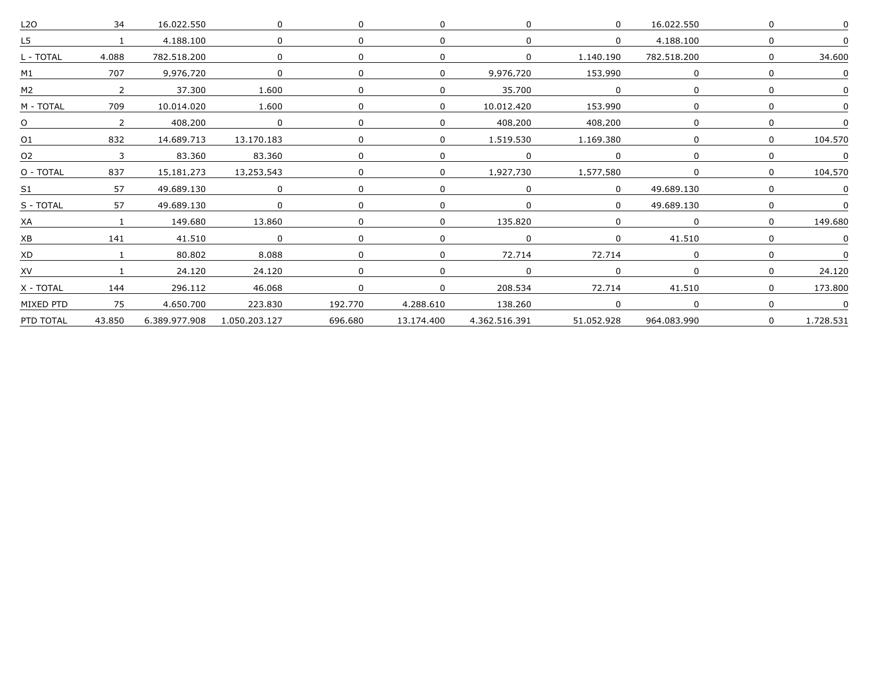| L <sub>20</sub> | 34             | 16.022.550    |               |         |              |               |            | 16,022,550  |              |           |
|-----------------|----------------|---------------|---------------|---------|--------------|---------------|------------|-------------|--------------|-----------|
|                 | $\mathbf{1}$   | 4.188.100     |               |         | <sup>0</sup> |               |            | 4.188.100   | $\Omega$     |           |
| - TOTAL         | 4.088          | 782.518.200   |               |         |              |               | 1.140.190  | 782.518.200 | $\Omega$     | 34.600    |
| M1              | 707            | 9.976.720     | $\Omega$      |         | 0            | 9.976.720     | 153.990    |             | n            |           |
| M2              | 2              | 37.300        | 1.600         |         |              | 35.700        |            |             |              |           |
| M - TOTAL       | 709            | 10.014.020    | 1.600         |         | $\Omega$     | 10.012.420    | 153.990    |             |              |           |
|                 | $\overline{2}$ | 408,200       | $\mathbf 0$   |         | 0            | 408,200       | 408,200    |             | <sup>0</sup> |           |
| Ω1              | 832            | 14,689,713    | 13,170,183    |         | $\Omega$     | 1,519,530     | 1,169,380  |             | $\Omega$     | 104.570   |
| O2              | 3              | 83.360        | 83.360        |         |              | 0             |            |             | $\Omega$     |           |
| O - TOTAL       | 837            | 15.181.273    | 13.253.543    |         | $\Omega$     | 1.927.730     | 1.577.580  |             | $\Omega$     | 104.570   |
| S1              | 57             | 49.689.130    |               |         |              |               |            | 49.689.130  |              |           |
| S - TOTAL       | 57             | 49.689.130    | $\Omega$      |         |              |               |            | 49.689.130  | $\Omega$     |           |
|                 |                | 149.680       | 13.860        |         |              | 135.820       |            |             | $\Omega$     | 149.680   |
|                 | 141            | 41.510        | $\Omega$      |         |              |               |            | 41.510      |              |           |
| XD              |                | 80,802        | 8,088         |         | <sup>n</sup> | 72.714        | 72,714     |             | n            |           |
| XV              |                | 24,120        | 24,120        |         |              |               |            |             |              | 24,120    |
| X - TOTAL       | 144            | 296.112       | 46.068        |         | $\Omega$     | 208.534       | 72.714     | 41.510      | $\Omega$     | 173.800   |
| MIXED PTD       | 75             | 4.650.700     | 223.830       | 192.770 | 4.288.610    | 138.260       |            |             | n            |           |
| PTD TOTAL       | 43.850         | 6.389.977.908 | 1.050.203.127 | 696.680 | 13.174.400   | 4.362.516.391 | 51.052.928 | 964.083.990 | $\Omega$     | 1.728.531 |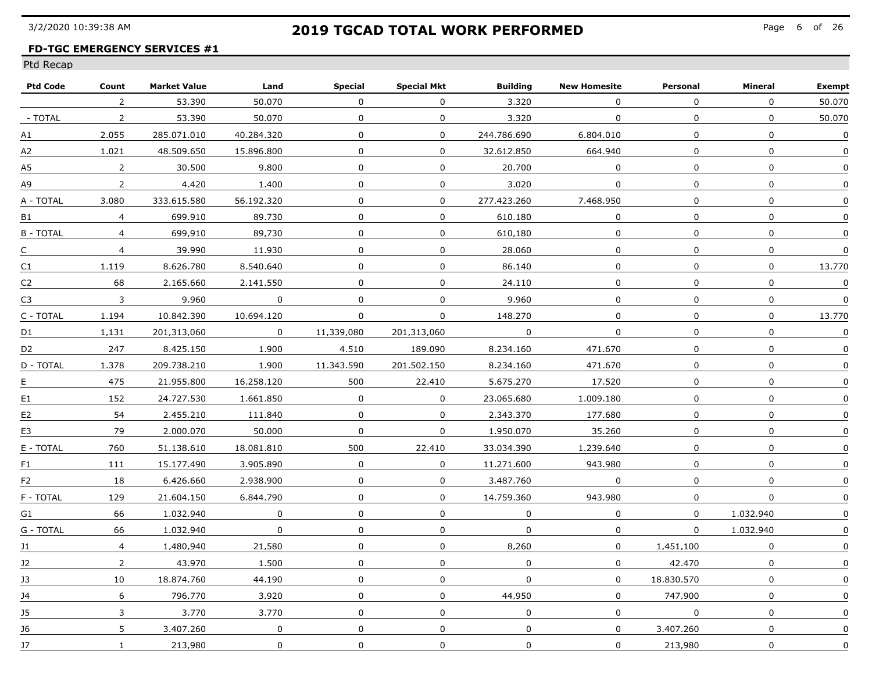### **FD-TGC EMERGENCY SERVICES #1**

| 53.390<br>50.070<br>$\Omega$<br>3.320<br>$\Omega$<br>$\Omega$<br>$\mathbf 0$<br>2<br>$\Omega$<br>53.390<br>50.070<br>3.320<br>- TOTAL<br>$\overline{2}$<br>$\Omega$<br>$\Omega$<br>$\Omega$<br>$\Omega$<br>$\Omega$<br>$\mathbf 0$<br>$\mathbf 0$<br>$\Omega$<br>244.786.690<br>$\Omega$<br>2.055<br>285.071.010<br>40.284.320<br>6.804.010<br>А1<br>$\boldsymbol{0}$<br>$\mathbf 0$<br>$\Omega$<br>$\mathbf{0}$<br>1.021<br>48.509.650<br>15.896.800<br>32.612.850<br>664.940<br>А2<br>$\overline{0}$<br>$\boldsymbol{0}$<br>$\overline{2}$<br>30.500<br>9.800<br>0<br>20.700<br>$\mathbf{0}$<br>A5<br>0<br>$\mathbf 0$<br>$\pmb{0}$<br>$\overline{2}$<br>4,420<br>1,400<br>$\mathbf{0}$<br>0<br>3,020<br>0<br>А9<br>$\mathbf 0$<br>333.615.580<br>56.192.320<br>$\mathbf 0$<br>0<br>277.423.260<br>7.468.950<br>A - TOTAL<br>3,080<br>$\mathbf{0}$<br>699.910<br>89.730<br>$\mathbf 0$<br>$\Omega$<br>$\Omega$<br>610.180<br>$\Omega$<br>$\overline{4}$<br>$\Omega$<br>B1<br>$\mathbf 0$<br><b>B - TOTAL</b><br>$\overline{4}$<br>699.910<br>89.730<br>$\mathbf 0$<br>$\Omega$<br>$\mathbf{0}$<br>$\Omega$<br>610.180<br>$\Omega$<br>$\mathbf 0$<br>$\mathbf 0$<br>$\overline{4}$<br>39.990<br>11.930<br>0<br>28.060<br>0<br>C<br>$\mathbf 0$<br>1.119<br>8.626.780<br>8.540.640<br>$\Omega$<br>0<br>86.140<br>$\Omega$<br>C1<br>0<br>0<br>$\Omega$<br>C <sub>2</sub><br>68<br>2.165.660<br>2.141.550<br>$\Omega$<br>0<br>24.110<br>$\Omega$<br>9.960<br>$\mathbf{0}$<br>9.960<br>0<br>$\mathbf 0$<br>$\Omega$<br>0<br>$\overline{3}$<br>$\overline{0}$<br>C3<br>$\overline{0}$<br>C - TOTAL<br>10.842.390<br>$\mathbf 0$<br>148,270<br>$\mathbf 0$<br>$\mathbf{0}$<br>1.194<br>10.694.120<br>$\mathbf{0}$<br>$\Omega$<br>$\mathbf 0$<br>$\overline{0}$<br>$\mathbf 0$<br>$\overline{\phantom{0}}$<br>1.131<br>201.313.060<br>11,339,080<br>201.313.060<br>D1<br>$\mathbf 0$<br>247<br>8.425.150<br>1.900<br>$\Omega$<br>4.510<br>189.090<br>8.234.160<br>471.670<br>D2<br>$\mathbf 0$<br>D - TOTAL<br>1.378<br>209.738.210<br>1.900<br>11.343.590<br>471.670<br>201.502.150<br>8.234.160<br>$\Omega$<br>$\mathbf 0$<br>475<br>21.955.800<br>16.258.120<br>500<br>22.410<br>5.675.270<br>17.520<br>E<br>$\Omega$<br>$\mathbf 0$<br>152<br>24.727.530<br>1.661.850<br>$\Omega$<br>$\mathbf{0}$<br>23.065.680<br>1.009.180<br>E1<br>0<br>54<br>177.680<br>$\mathbf 0$<br>2.455.210<br>111.840<br>$\Omega$<br>$\mathbf{0}$<br>2.343.370<br>0<br>E2<br>$\mathbf 0$<br>79<br>2.000.070<br>50,000<br>$\mathbf 0$<br>$\mathbf 0$<br>35,260<br>$\mathbf 0$<br>1.950.070<br>E3<br>$\mathbf 0$<br>E - TOTAL<br>760<br>500<br>22,410<br>1.239.640<br>$\mathbf 0$<br>51.138.610<br>18.081.810<br>33.034.390<br>$\mathbf 0$<br>$\Omega$<br>111<br>15.177.490<br>3.905.890<br>$\Omega$<br>943.980<br>11.271.600<br>$\Omega$<br>F1<br>0<br>$\Omega$<br>$\mathbf{0}$<br>18<br>6.426.660<br>2.938.900<br>$\Omega$<br>3.487.760<br>F <sub>2</sub><br>$\Omega$<br>129<br>21.604.150<br>6.844.790<br>$\Omega$<br>14.759.360<br>$\mathbf 0$<br>F - TOTAL<br>0<br>943.980<br>0<br>66<br>1.032.940<br>$\Omega$<br>$\Omega$<br>$\Omega$<br>1.032.940<br>$\Omega$<br>$\Omega$<br>$\Omega$<br>G1<br>$\Omega$<br>1.032.940<br>$\Omega$<br>$\overline{0}$<br>G - TOTAL<br>66<br>$\Omega$<br>$\Omega$<br>$\Omega$<br>1.032.940<br>$\mathbf 0$<br>$\mathbf 0$<br>8.260<br>$\mathbf 0$<br>$\overline{4}$<br>1,480,940<br>21,580<br>$\mathbf 0$<br>1,451,100<br>J1<br>$\mathbf 0$<br>$\overline{0}$<br>$\mathbf 0$<br>$\mathbf 0$<br>$\overline{2}$<br>43.970<br>$\mathbf 0$<br>42,470<br>J2<br>1,500<br>$\mathbf 0$<br>$\mathbf{0}$<br>$\mathbf 0$<br>18.874.760<br>44,190<br>$\mathbf 0$<br>0<br>18,830,570<br>J3<br>10<br>796.770<br>3.920<br>0<br>44.950<br>$\Omega$<br>747.900<br>$\mathbf 0$<br>6<br>$\Omega$<br>14<br>3.770<br>$\Omega$<br>$\Omega$<br>3<br>3.770<br>$\mathbf 0$<br>$\Omega$<br>$\overline{0}$<br>$\mathbf{0}$<br>15 | <b>Ptd Code</b> | Count | <b>Market Value</b> | Land | Special | <b>Special Mkt</b> | <b>Building</b> | <b>New Homesite</b> | Personal | Mineral | <b>Exempt</b> |
|---------------------------------------------------------------------------------------------------------------------------------------------------------------------------------------------------------------------------------------------------------------------------------------------------------------------------------------------------------------------------------------------------------------------------------------------------------------------------------------------------------------------------------------------------------------------------------------------------------------------------------------------------------------------------------------------------------------------------------------------------------------------------------------------------------------------------------------------------------------------------------------------------------------------------------------------------------------------------------------------------------------------------------------------------------------------------------------------------------------------------------------------------------------------------------------------------------------------------------------------------------------------------------------------------------------------------------------------------------------------------------------------------------------------------------------------------------------------------------------------------------------------------------------------------------------------------------------------------------------------------------------------------------------------------------------------------------------------------------------------------------------------------------------------------------------------------------------------------------------------------------------------------------------------------------------------------------------------------------------------------------------------------------------------------------------------------------------------------------------------------------------------------------------------------------------------------------------------------------------------------------------------------------------------------------------------------------------------------------------------------------------------------------------------------------------------------------------------------------------------------------------------------------------------------------------------------------------------------------------------------------------------------------------------------------------------------------------------------------------------------------------------------------------------------------------------------------------------------------------------------------------------------------------------------------------------------------------------------------------------------------------------------------------------------------------------------------------------------------------------------------------------------------------------------------------------------------------------------------------------------------------------------------------------------------------------------------------------------------------------------------------------------------------------------------------------------------------------------------------------------------------------------------------------------------------------------------------------------------------------------------------------------------------------------------------------------------------------------------------------------------------------------------------------------------------------------------------------------------------------------------------------------------------|-----------------|-------|---------------------|------|---------|--------------------|-----------------|---------------------|----------|---------|---------------|
|                                                                                                                                                                                                                                                                                                                                                                                                                                                                                                                                                                                                                                                                                                                                                                                                                                                                                                                                                                                                                                                                                                                                                                                                                                                                                                                                                                                                                                                                                                                                                                                                                                                                                                                                                                                                                                                                                                                                                                                                                                                                                                                                                                                                                                                                                                                                                                                                                                                                                                                                                                                                                                                                                                                                                                                                                                                                                                                                                                                                                                                                                                                                                                                                                                                                                                                                                                                                                                                                                                                                                                                                                                                                                                                                                                                                                                                                                                               |                 |       |                     |      |         |                    |                 |                     |          |         | 50.070        |
|                                                                                                                                                                                                                                                                                                                                                                                                                                                                                                                                                                                                                                                                                                                                                                                                                                                                                                                                                                                                                                                                                                                                                                                                                                                                                                                                                                                                                                                                                                                                                                                                                                                                                                                                                                                                                                                                                                                                                                                                                                                                                                                                                                                                                                                                                                                                                                                                                                                                                                                                                                                                                                                                                                                                                                                                                                                                                                                                                                                                                                                                                                                                                                                                                                                                                                                                                                                                                                                                                                                                                                                                                                                                                                                                                                                                                                                                                                               |                 |       |                     |      |         |                    |                 |                     |          |         | 50.070        |
|                                                                                                                                                                                                                                                                                                                                                                                                                                                                                                                                                                                                                                                                                                                                                                                                                                                                                                                                                                                                                                                                                                                                                                                                                                                                                                                                                                                                                                                                                                                                                                                                                                                                                                                                                                                                                                                                                                                                                                                                                                                                                                                                                                                                                                                                                                                                                                                                                                                                                                                                                                                                                                                                                                                                                                                                                                                                                                                                                                                                                                                                                                                                                                                                                                                                                                                                                                                                                                                                                                                                                                                                                                                                                                                                                                                                                                                                                                               |                 |       |                     |      |         |                    |                 |                     |          |         | $\mathbf 0$   |
|                                                                                                                                                                                                                                                                                                                                                                                                                                                                                                                                                                                                                                                                                                                                                                                                                                                                                                                                                                                                                                                                                                                                                                                                                                                                                                                                                                                                                                                                                                                                                                                                                                                                                                                                                                                                                                                                                                                                                                                                                                                                                                                                                                                                                                                                                                                                                                                                                                                                                                                                                                                                                                                                                                                                                                                                                                                                                                                                                                                                                                                                                                                                                                                                                                                                                                                                                                                                                                                                                                                                                                                                                                                                                                                                                                                                                                                                                                               |                 |       |                     |      |         |                    |                 |                     |          |         | $\Omega$      |
|                                                                                                                                                                                                                                                                                                                                                                                                                                                                                                                                                                                                                                                                                                                                                                                                                                                                                                                                                                                                                                                                                                                                                                                                                                                                                                                                                                                                                                                                                                                                                                                                                                                                                                                                                                                                                                                                                                                                                                                                                                                                                                                                                                                                                                                                                                                                                                                                                                                                                                                                                                                                                                                                                                                                                                                                                                                                                                                                                                                                                                                                                                                                                                                                                                                                                                                                                                                                                                                                                                                                                                                                                                                                                                                                                                                                                                                                                                               |                 |       |                     |      |         |                    |                 |                     |          |         | $\Omega$      |
|                                                                                                                                                                                                                                                                                                                                                                                                                                                                                                                                                                                                                                                                                                                                                                                                                                                                                                                                                                                                                                                                                                                                                                                                                                                                                                                                                                                                                                                                                                                                                                                                                                                                                                                                                                                                                                                                                                                                                                                                                                                                                                                                                                                                                                                                                                                                                                                                                                                                                                                                                                                                                                                                                                                                                                                                                                                                                                                                                                                                                                                                                                                                                                                                                                                                                                                                                                                                                                                                                                                                                                                                                                                                                                                                                                                                                                                                                                               |                 |       |                     |      |         |                    |                 |                     |          |         | 0             |
|                                                                                                                                                                                                                                                                                                                                                                                                                                                                                                                                                                                                                                                                                                                                                                                                                                                                                                                                                                                                                                                                                                                                                                                                                                                                                                                                                                                                                                                                                                                                                                                                                                                                                                                                                                                                                                                                                                                                                                                                                                                                                                                                                                                                                                                                                                                                                                                                                                                                                                                                                                                                                                                                                                                                                                                                                                                                                                                                                                                                                                                                                                                                                                                                                                                                                                                                                                                                                                                                                                                                                                                                                                                                                                                                                                                                                                                                                                               |                 |       |                     |      |         |                    |                 |                     |          |         | 0             |
|                                                                                                                                                                                                                                                                                                                                                                                                                                                                                                                                                                                                                                                                                                                                                                                                                                                                                                                                                                                                                                                                                                                                                                                                                                                                                                                                                                                                                                                                                                                                                                                                                                                                                                                                                                                                                                                                                                                                                                                                                                                                                                                                                                                                                                                                                                                                                                                                                                                                                                                                                                                                                                                                                                                                                                                                                                                                                                                                                                                                                                                                                                                                                                                                                                                                                                                                                                                                                                                                                                                                                                                                                                                                                                                                                                                                                                                                                                               |                 |       |                     |      |         |                    |                 |                     |          |         | 0             |
|                                                                                                                                                                                                                                                                                                                                                                                                                                                                                                                                                                                                                                                                                                                                                                                                                                                                                                                                                                                                                                                                                                                                                                                                                                                                                                                                                                                                                                                                                                                                                                                                                                                                                                                                                                                                                                                                                                                                                                                                                                                                                                                                                                                                                                                                                                                                                                                                                                                                                                                                                                                                                                                                                                                                                                                                                                                                                                                                                                                                                                                                                                                                                                                                                                                                                                                                                                                                                                                                                                                                                                                                                                                                                                                                                                                                                                                                                                               |                 |       |                     |      |         |                    |                 |                     |          |         | $\Omega$      |
|                                                                                                                                                                                                                                                                                                                                                                                                                                                                                                                                                                                                                                                                                                                                                                                                                                                                                                                                                                                                                                                                                                                                                                                                                                                                                                                                                                                                                                                                                                                                                                                                                                                                                                                                                                                                                                                                                                                                                                                                                                                                                                                                                                                                                                                                                                                                                                                                                                                                                                                                                                                                                                                                                                                                                                                                                                                                                                                                                                                                                                                                                                                                                                                                                                                                                                                                                                                                                                                                                                                                                                                                                                                                                                                                                                                                                                                                                                               |                 |       |                     |      |         |                    |                 |                     |          |         | 0             |
|                                                                                                                                                                                                                                                                                                                                                                                                                                                                                                                                                                                                                                                                                                                                                                                                                                                                                                                                                                                                                                                                                                                                                                                                                                                                                                                                                                                                                                                                                                                                                                                                                                                                                                                                                                                                                                                                                                                                                                                                                                                                                                                                                                                                                                                                                                                                                                                                                                                                                                                                                                                                                                                                                                                                                                                                                                                                                                                                                                                                                                                                                                                                                                                                                                                                                                                                                                                                                                                                                                                                                                                                                                                                                                                                                                                                                                                                                                               |                 |       |                     |      |         |                    |                 |                     |          |         | 13.770        |
|                                                                                                                                                                                                                                                                                                                                                                                                                                                                                                                                                                                                                                                                                                                                                                                                                                                                                                                                                                                                                                                                                                                                                                                                                                                                                                                                                                                                                                                                                                                                                                                                                                                                                                                                                                                                                                                                                                                                                                                                                                                                                                                                                                                                                                                                                                                                                                                                                                                                                                                                                                                                                                                                                                                                                                                                                                                                                                                                                                                                                                                                                                                                                                                                                                                                                                                                                                                                                                                                                                                                                                                                                                                                                                                                                                                                                                                                                                               |                 |       |                     |      |         |                    |                 |                     |          |         | $\Omega$      |
|                                                                                                                                                                                                                                                                                                                                                                                                                                                                                                                                                                                                                                                                                                                                                                                                                                                                                                                                                                                                                                                                                                                                                                                                                                                                                                                                                                                                                                                                                                                                                                                                                                                                                                                                                                                                                                                                                                                                                                                                                                                                                                                                                                                                                                                                                                                                                                                                                                                                                                                                                                                                                                                                                                                                                                                                                                                                                                                                                                                                                                                                                                                                                                                                                                                                                                                                                                                                                                                                                                                                                                                                                                                                                                                                                                                                                                                                                                               |                 |       |                     |      |         |                    |                 |                     |          |         | 0             |
|                                                                                                                                                                                                                                                                                                                                                                                                                                                                                                                                                                                                                                                                                                                                                                                                                                                                                                                                                                                                                                                                                                                                                                                                                                                                                                                                                                                                                                                                                                                                                                                                                                                                                                                                                                                                                                                                                                                                                                                                                                                                                                                                                                                                                                                                                                                                                                                                                                                                                                                                                                                                                                                                                                                                                                                                                                                                                                                                                                                                                                                                                                                                                                                                                                                                                                                                                                                                                                                                                                                                                                                                                                                                                                                                                                                                                                                                                                               |                 |       |                     |      |         |                    |                 |                     |          |         | 13.770        |
|                                                                                                                                                                                                                                                                                                                                                                                                                                                                                                                                                                                                                                                                                                                                                                                                                                                                                                                                                                                                                                                                                                                                                                                                                                                                                                                                                                                                                                                                                                                                                                                                                                                                                                                                                                                                                                                                                                                                                                                                                                                                                                                                                                                                                                                                                                                                                                                                                                                                                                                                                                                                                                                                                                                                                                                                                                                                                                                                                                                                                                                                                                                                                                                                                                                                                                                                                                                                                                                                                                                                                                                                                                                                                                                                                                                                                                                                                                               |                 |       |                     |      |         |                    |                 |                     |          |         | $\pmb{0}$     |
|                                                                                                                                                                                                                                                                                                                                                                                                                                                                                                                                                                                                                                                                                                                                                                                                                                                                                                                                                                                                                                                                                                                                                                                                                                                                                                                                                                                                                                                                                                                                                                                                                                                                                                                                                                                                                                                                                                                                                                                                                                                                                                                                                                                                                                                                                                                                                                                                                                                                                                                                                                                                                                                                                                                                                                                                                                                                                                                                                                                                                                                                                                                                                                                                                                                                                                                                                                                                                                                                                                                                                                                                                                                                                                                                                                                                                                                                                                               |                 |       |                     |      |         |                    |                 |                     |          |         | 0             |
|                                                                                                                                                                                                                                                                                                                                                                                                                                                                                                                                                                                                                                                                                                                                                                                                                                                                                                                                                                                                                                                                                                                                                                                                                                                                                                                                                                                                                                                                                                                                                                                                                                                                                                                                                                                                                                                                                                                                                                                                                                                                                                                                                                                                                                                                                                                                                                                                                                                                                                                                                                                                                                                                                                                                                                                                                                                                                                                                                                                                                                                                                                                                                                                                                                                                                                                                                                                                                                                                                                                                                                                                                                                                                                                                                                                                                                                                                                               |                 |       |                     |      |         |                    |                 |                     |          |         | $\Omega$      |
|                                                                                                                                                                                                                                                                                                                                                                                                                                                                                                                                                                                                                                                                                                                                                                                                                                                                                                                                                                                                                                                                                                                                                                                                                                                                                                                                                                                                                                                                                                                                                                                                                                                                                                                                                                                                                                                                                                                                                                                                                                                                                                                                                                                                                                                                                                                                                                                                                                                                                                                                                                                                                                                                                                                                                                                                                                                                                                                                                                                                                                                                                                                                                                                                                                                                                                                                                                                                                                                                                                                                                                                                                                                                                                                                                                                                                                                                                                               |                 |       |                     |      |         |                    |                 |                     |          |         | $\Omega$      |
|                                                                                                                                                                                                                                                                                                                                                                                                                                                                                                                                                                                                                                                                                                                                                                                                                                                                                                                                                                                                                                                                                                                                                                                                                                                                                                                                                                                                                                                                                                                                                                                                                                                                                                                                                                                                                                                                                                                                                                                                                                                                                                                                                                                                                                                                                                                                                                                                                                                                                                                                                                                                                                                                                                                                                                                                                                                                                                                                                                                                                                                                                                                                                                                                                                                                                                                                                                                                                                                                                                                                                                                                                                                                                                                                                                                                                                                                                                               |                 |       |                     |      |         |                    |                 |                     |          |         | $\Omega$      |
|                                                                                                                                                                                                                                                                                                                                                                                                                                                                                                                                                                                                                                                                                                                                                                                                                                                                                                                                                                                                                                                                                                                                                                                                                                                                                                                                                                                                                                                                                                                                                                                                                                                                                                                                                                                                                                                                                                                                                                                                                                                                                                                                                                                                                                                                                                                                                                                                                                                                                                                                                                                                                                                                                                                                                                                                                                                                                                                                                                                                                                                                                                                                                                                                                                                                                                                                                                                                                                                                                                                                                                                                                                                                                                                                                                                                                                                                                                               |                 |       |                     |      |         |                    |                 |                     |          |         | $\Omega$      |
|                                                                                                                                                                                                                                                                                                                                                                                                                                                                                                                                                                                                                                                                                                                                                                                                                                                                                                                                                                                                                                                                                                                                                                                                                                                                                                                                                                                                                                                                                                                                                                                                                                                                                                                                                                                                                                                                                                                                                                                                                                                                                                                                                                                                                                                                                                                                                                                                                                                                                                                                                                                                                                                                                                                                                                                                                                                                                                                                                                                                                                                                                                                                                                                                                                                                                                                                                                                                                                                                                                                                                                                                                                                                                                                                                                                                                                                                                                               |                 |       |                     |      |         |                    |                 |                     |          |         | $\pmb{0}$     |
|                                                                                                                                                                                                                                                                                                                                                                                                                                                                                                                                                                                                                                                                                                                                                                                                                                                                                                                                                                                                                                                                                                                                                                                                                                                                                                                                                                                                                                                                                                                                                                                                                                                                                                                                                                                                                                                                                                                                                                                                                                                                                                                                                                                                                                                                                                                                                                                                                                                                                                                                                                                                                                                                                                                                                                                                                                                                                                                                                                                                                                                                                                                                                                                                                                                                                                                                                                                                                                                                                                                                                                                                                                                                                                                                                                                                                                                                                                               |                 |       |                     |      |         |                    |                 |                     |          |         | 0             |
|                                                                                                                                                                                                                                                                                                                                                                                                                                                                                                                                                                                                                                                                                                                                                                                                                                                                                                                                                                                                                                                                                                                                                                                                                                                                                                                                                                                                                                                                                                                                                                                                                                                                                                                                                                                                                                                                                                                                                                                                                                                                                                                                                                                                                                                                                                                                                                                                                                                                                                                                                                                                                                                                                                                                                                                                                                                                                                                                                                                                                                                                                                                                                                                                                                                                                                                                                                                                                                                                                                                                                                                                                                                                                                                                                                                                                                                                                                               |                 |       |                     |      |         |                    |                 |                     |          |         | $\Omega$      |
|                                                                                                                                                                                                                                                                                                                                                                                                                                                                                                                                                                                                                                                                                                                                                                                                                                                                                                                                                                                                                                                                                                                                                                                                                                                                                                                                                                                                                                                                                                                                                                                                                                                                                                                                                                                                                                                                                                                                                                                                                                                                                                                                                                                                                                                                                                                                                                                                                                                                                                                                                                                                                                                                                                                                                                                                                                                                                                                                                                                                                                                                                                                                                                                                                                                                                                                                                                                                                                                                                                                                                                                                                                                                                                                                                                                                                                                                                                               |                 |       |                     |      |         |                    |                 |                     |          |         | $\Omega$      |
|                                                                                                                                                                                                                                                                                                                                                                                                                                                                                                                                                                                                                                                                                                                                                                                                                                                                                                                                                                                                                                                                                                                                                                                                                                                                                                                                                                                                                                                                                                                                                                                                                                                                                                                                                                                                                                                                                                                                                                                                                                                                                                                                                                                                                                                                                                                                                                                                                                                                                                                                                                                                                                                                                                                                                                                                                                                                                                                                                                                                                                                                                                                                                                                                                                                                                                                                                                                                                                                                                                                                                                                                                                                                                                                                                                                                                                                                                                               |                 |       |                     |      |         |                    |                 |                     |          |         | 0             |
|                                                                                                                                                                                                                                                                                                                                                                                                                                                                                                                                                                                                                                                                                                                                                                                                                                                                                                                                                                                                                                                                                                                                                                                                                                                                                                                                                                                                                                                                                                                                                                                                                                                                                                                                                                                                                                                                                                                                                                                                                                                                                                                                                                                                                                                                                                                                                                                                                                                                                                                                                                                                                                                                                                                                                                                                                                                                                                                                                                                                                                                                                                                                                                                                                                                                                                                                                                                                                                                                                                                                                                                                                                                                                                                                                                                                                                                                                                               |                 |       |                     |      |         |                    |                 |                     |          |         | 0             |
|                                                                                                                                                                                                                                                                                                                                                                                                                                                                                                                                                                                                                                                                                                                                                                                                                                                                                                                                                                                                                                                                                                                                                                                                                                                                                                                                                                                                                                                                                                                                                                                                                                                                                                                                                                                                                                                                                                                                                                                                                                                                                                                                                                                                                                                                                                                                                                                                                                                                                                                                                                                                                                                                                                                                                                                                                                                                                                                                                                                                                                                                                                                                                                                                                                                                                                                                                                                                                                                                                                                                                                                                                                                                                                                                                                                                                                                                                                               |                 |       |                     |      |         |                    |                 |                     |          |         | 0             |
|                                                                                                                                                                                                                                                                                                                                                                                                                                                                                                                                                                                                                                                                                                                                                                                                                                                                                                                                                                                                                                                                                                                                                                                                                                                                                                                                                                                                                                                                                                                                                                                                                                                                                                                                                                                                                                                                                                                                                                                                                                                                                                                                                                                                                                                                                                                                                                                                                                                                                                                                                                                                                                                                                                                                                                                                                                                                                                                                                                                                                                                                                                                                                                                                                                                                                                                                                                                                                                                                                                                                                                                                                                                                                                                                                                                                                                                                                                               |                 |       |                     |      |         |                    |                 |                     |          |         | 0             |
|                                                                                                                                                                                                                                                                                                                                                                                                                                                                                                                                                                                                                                                                                                                                                                                                                                                                                                                                                                                                                                                                                                                                                                                                                                                                                                                                                                                                                                                                                                                                                                                                                                                                                                                                                                                                                                                                                                                                                                                                                                                                                                                                                                                                                                                                                                                                                                                                                                                                                                                                                                                                                                                                                                                                                                                                                                                                                                                                                                                                                                                                                                                                                                                                                                                                                                                                                                                                                                                                                                                                                                                                                                                                                                                                                                                                                                                                                                               |                 |       |                     |      |         |                    |                 |                     |          |         | $\pmb{0}$     |
|                                                                                                                                                                                                                                                                                                                                                                                                                                                                                                                                                                                                                                                                                                                                                                                                                                                                                                                                                                                                                                                                                                                                                                                                                                                                                                                                                                                                                                                                                                                                                                                                                                                                                                                                                                                                                                                                                                                                                                                                                                                                                                                                                                                                                                                                                                                                                                                                                                                                                                                                                                                                                                                                                                                                                                                                                                                                                                                                                                                                                                                                                                                                                                                                                                                                                                                                                                                                                                                                                                                                                                                                                                                                                                                                                                                                                                                                                                               |                 |       |                     |      |         |                    |                 |                     |          |         | $\mathbf 0$   |
|                                                                                                                                                                                                                                                                                                                                                                                                                                                                                                                                                                                                                                                                                                                                                                                                                                                                                                                                                                                                                                                                                                                                                                                                                                                                                                                                                                                                                                                                                                                                                                                                                                                                                                                                                                                                                                                                                                                                                                                                                                                                                                                                                                                                                                                                                                                                                                                                                                                                                                                                                                                                                                                                                                                                                                                                                                                                                                                                                                                                                                                                                                                                                                                                                                                                                                                                                                                                                                                                                                                                                                                                                                                                                                                                                                                                                                                                                                               |                 |       |                     |      |         |                    |                 |                     |          |         | 0             |
|                                                                                                                                                                                                                                                                                                                                                                                                                                                                                                                                                                                                                                                                                                                                                                                                                                                                                                                                                                                                                                                                                                                                                                                                                                                                                                                                                                                                                                                                                                                                                                                                                                                                                                                                                                                                                                                                                                                                                                                                                                                                                                                                                                                                                                                                                                                                                                                                                                                                                                                                                                                                                                                                                                                                                                                                                                                                                                                                                                                                                                                                                                                                                                                                                                                                                                                                                                                                                                                                                                                                                                                                                                                                                                                                                                                                                                                                                                               |                 |       |                     |      |         |                    |                 |                     |          |         | 0             |
| $\Omega$<br>$\mathbf{0}$<br>$\mathbf 0$<br>5<br>3.407.260<br>$\Omega$<br>$\mathbf 0$<br>$\mathbf 0$<br>3.407.260<br>16                                                                                                                                                                                                                                                                                                                                                                                                                                                                                                                                                                                                                                                                                                                                                                                                                                                                                                                                                                                                                                                                                                                                                                                                                                                                                                                                                                                                                                                                                                                                                                                                                                                                                                                                                                                                                                                                                                                                                                                                                                                                                                                                                                                                                                                                                                                                                                                                                                                                                                                                                                                                                                                                                                                                                                                                                                                                                                                                                                                                                                                                                                                                                                                                                                                                                                                                                                                                                                                                                                                                                                                                                                                                                                                                                                                        |                 |       |                     |      |         |                    |                 |                     |          |         | $\Omega$      |
| $\mathbf 0$<br>0<br>$\mathbf 0$<br>$\mathbf{0}$<br>0<br>17<br>$\mathbf{1}$<br>213.980<br>0<br>213.980                                                                                                                                                                                                                                                                                                                                                                                                                                                                                                                                                                                                                                                                                                                                                                                                                                                                                                                                                                                                                                                                                                                                                                                                                                                                                                                                                                                                                                                                                                                                                                                                                                                                                                                                                                                                                                                                                                                                                                                                                                                                                                                                                                                                                                                                                                                                                                                                                                                                                                                                                                                                                                                                                                                                                                                                                                                                                                                                                                                                                                                                                                                                                                                                                                                                                                                                                                                                                                                                                                                                                                                                                                                                                                                                                                                                         |                 |       |                     |      |         |                    |                 |                     |          |         | 0             |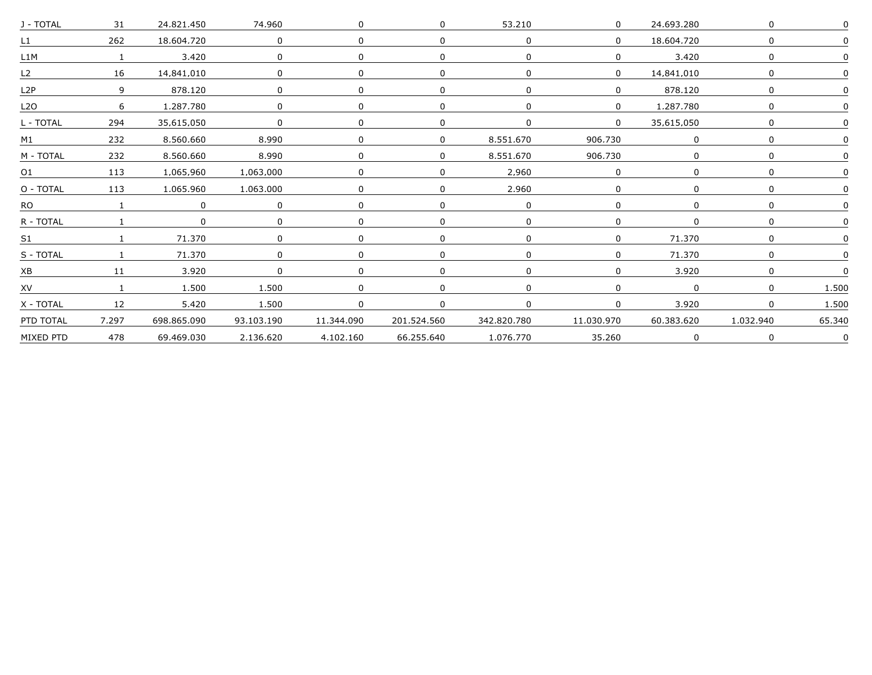| J - TOTAL        | 31       | 24,821,450  | 74,960       |            |              | 53,210                         |                | 24,693,280     |              |        |
|------------------|----------|-------------|--------------|------------|--------------|--------------------------------|----------------|----------------|--------------|--------|
| $\mathsf{L}1$    | 262      | 18.604.720  | $\Omega$     |            | <sup>0</sup> | <sup>n</sup>                   |                | 18.604.720     |              |        |
| 11M              |          | 3.420       | <sup>n</sup> |            | <sup>0</sup> |                                |                | 3.420          |              |        |
| L2               | 16       | 14.841.010  | $\Omega$     |            | <sup>0</sup> |                                |                | 14.841.010     |              |        |
| L2P              | 9        | 878.120     | $\Omega$     |            | 0            |                                |                | 878.120        |              |        |
| L <sub>2</sub> O | 6        | 1.287.780   | $\Omega$     |            | 0            |                                | $\Omega$       | 1.287.780      |              |        |
| L - TOTAL        | 294      | 35.615.050  |              |            |              |                                | $\overline{0}$ | 35.615.050     |              |        |
| M1               | 232      | 8.560.660   | 8,990        |            |              | $\overline{0}$<br>8.551.670    | 906.730        |                |              |        |
| M - TOTAL        | 232      | 8.560.660   | 8.990        |            | $\Omega$     | 8.551.670                      | 906.730        |                |              |        |
| O1               | 113      | 1.065.960   | 1.063.000    |            | <sup>n</sup> | 2.960                          |                |                |              |        |
| O - TOTAL        | 113      | 1.065.960   | 1.063.000    |            | $\Omega$     | 2.960                          |                |                |              |        |
| RO.              |          | $\Omega$    | $\Omega$     |            | <sup>n</sup> |                                |                |                |              |        |
| R - TOTAL        |          |             |              |            | <sup>n</sup> |                                |                |                |              |        |
| S <sub>1</sub>   |          | 71.370      | $\Omega$     |            | <sup>n</sup> |                                |                | 71.370         |              |        |
| S - TOTAL        | $\sim$ 1 | 71,370      | $\Omega$     |            | $\Omega$     |                                | $\Omega$       | 71,370         |              |        |
| XB               | 11       | 3,920       | $\Omega$     |            | 0            |                                |                | 3,920          |              |        |
| XV               |          | 1.500       | 1.500        |            | $\Omega$     |                                |                | $\overline{0}$ |              | 1.500  |
| X - TOTAL        | 12       | 5.420       | 1.500        |            | $\Omega$     |                                | $\Omega$       | 3.920          | $\mathbf{0}$ | 1.500  |
| PTD TOTAL        | 7.297    | 698.865.090 | 93.103.190   | 11.344.090 | 201.524.560  | 342.820.780                    | 11.030.970     | 60.383.620     | 1.032.940    | 65.340 |
| MIXED PTD        | 478      | 69.469.030  | 2.136.620    |            |              | 4.102.160 66.255.640 1.076.770 | 35.260         |                |              | 0      |
|                  |          |             |              |            |              |                                |                |                |              |        |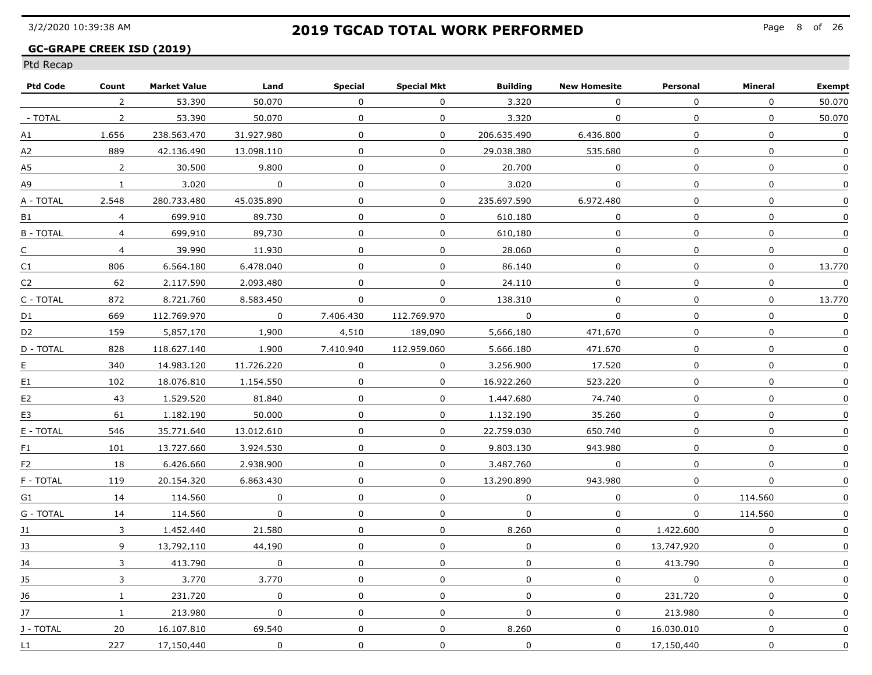### **GC-GRAPE CREEK ISD (2019)**

| <b>Ptd Code</b> | Count          | <b>Market Value</b> | Land                    | Special      | <b>Special Mkt</b> | <b>Building</b> | <b>New Homesite</b> | Personal     | Mineral          | <b>Exempt</b>    |
|-----------------|----------------|---------------------|-------------------------|--------------|--------------------|-----------------|---------------------|--------------|------------------|------------------|
|                 | 2              | 53.390              | 50.070                  | $\Omega$     | $\Omega$           | 3.320           | 0                   | $\mathbf 0$  | $\mathbf 0$      | 50.070           |
| - TOTAL         | 2              | 53.390              | 50.070                  | $\Omega$     | $\Omega$           | 3.320           | $\Omega$            | $\Omega$     | $\Omega$         | 50.070           |
| А1              | 1.656          | 238.563.470         | 31.927.980              | $\mathbf{0}$ | $\mathbf{0}$       | 206.635.490     | 6.436.800           | $\Omega$     | $\mathbf 0$      | $\mathbf 0$      |
| А2              | 889            | 42.136.490          | 13.098.110              | $\mathbf 0$  | $\mathbf 0$        | 29.038.380      | 535.680             | $\Omega$     | $\boldsymbol{0}$ | $\Omega$         |
| A5              | 2              | 30.500              | 9.800                   | 0            | $\Omega$           | 20.700          | $\Omega$            | 0            | $\mathbf 0$      | $\Omega$         |
| А9              | $\mathbf{1}$   | 3,020               | $\overline{\mathbf{0}}$ | $\mathbf{0}$ | 0                  | 3,020           | 0                   | $\mathbf{0}$ | 0                | $\pmb{0}$        |
| A - TOTAL       | 2.548          | 280.733.480         | 45.035.890              | $\Omega$     | 0                  | 235.697.590     | 6.972.480           | 0            | 0                | 0                |
| B1              | $\overline{4}$ | 699.910             | 89.730                  | $\Omega$     | $\Omega$           | 610.180         | $\Omega$            | 0            | $\Omega$         | $\Omega$         |
| <b>B-TOTAL</b>  | $\overline{4}$ | 699.910             | 89.730                  | $\Omega$     | $\mathbf 0$        | 610.180         | $\mathbf{0}$        | $\Omega$     | $\mathbf 0$      | 0                |
| C               | $\overline{4}$ | 39.990              | 11.930                  | $\mathbf 0$  | $\mathbf 0$        | 28.060          | $\mathbf 0$         | 0            | $\mathbf 0$      | $\Omega$         |
| C1              | 806            | 6.564.180           | 6.478.040               | $\Omega$     | 0                  | 86.140          | $\mathbf 0$         | 0            | $\mathbf 0$      | 13.770           |
| C2              | 62             | 2.117.590           | 2.093.480               | $\Omega$     | 0                  | 24.110          | $\Omega$            | $\Omega$     | $\Omega$         | $\boldsymbol{0}$ |
| C - TOTAL       | 872            | 8.721.760           | 8.583.450               | $\Omega$     | $\mathbf 0$        | 138.310         | $\mathbf{0}$        | $\Omega$     | 0                | 13.770           |
| D1              | 669            | 112.769.970         | $\sim$ 0                | 7.406.430    | 112,769,970        | 0               | $\overline{0}$      | $\mathbf 0$  | $\mathbf 0$      | $\mathbf 0$      |
| D <sub>2</sub>  | 159            | 5.857.170           | 1,900                   | 4,510        | 189.090            | 5,666,180       | 471.670             | $\mathbf 0$  | $\mathbf 0$      | $\mathbf 0$      |
| D - TOTAL       | 828            | 118.627.140         | 1.900                   | 7.410.940    | 112.959.060        | 5.666.180       | 471.670             | $\Omega$     | $\mathbf 0$      | 0                |
| E               | 340            | 14.983.120          | 11.726.220              | $\Omega$     | $\mathbf{0}$       | 3.256.900       | 17.520              | $\Omega$     | $\mathbf 0$      | $\Omega$         |
| E1              | 102            | 18.076.810          | 1.154.550               | 0            | $\Omega$           | 16.922.260      | 523.220             | 0            | 0                | $\Omega$         |
| E <sub>2</sub>  | 43             | 1.529.520           | 81.840                  | $\Omega$     | $\mathbf 0$        | 1.447.680       | 74.740              | 0            | $\mathbf 0$      | 0                |
| E3              | 61             | 1.182.190           | 50.000                  | $\Omega$     | $\Omega$           | 1.132.190       | 35.260              | $\Omega$     | $\Omega$         | $\Omega$         |
| E - TOTAL       | 546            | 35.771.640          | 13.012.610              | $\mathbf{0}$ | $\mathsf{O}$       | 22.759.030      | 650.740             | $\mathbf{0}$ | $\mathbf 0$      | 0                |
| F1              | 101            | 13,727,660          | 3.924.530               | $\mathbf 0$  | $\mathbf 0$        | 9.803.130       | 943.980             | $\mathbf 0$  | $\mathbf 0$      | 0                |
| F <sub>2</sub>  | 18             | 6.426.660           | 2.938.900               | $\mathbf{0}$ | $\Omega$           | 3.487.760       | 0                   | $\mathbf 0$  | $\mathbf{0}$     | $\Omega$         |
| F - TOTAL       | 119            | 20.154.320          | 6.863.430               | 0            | 0                  | 13.290.890      | 943.980             | 0            | $\mathbf 0$      | 0                |
| G1              | 14             | 114.560             | $\Omega$                | 0            | 0                  | 0               | 0                   | 0            | 114.560          | 0                |
| G - TOTAL       | 14             | 114.560             | $\Omega$                | 0            | $\Omega$           | $\Omega$        | $\Omega$            | $\Omega$     | 114.560          | 0                |
| 11              | $\mathbf{3}$   | 1.452.440           | 21.580                  | 0            | $\mathbf{0}$       | 8.260           | $\Omega$            | 1.422.600    | $\mathbf 0$      | $\Omega$         |
| J3              | 9              | 13,792,110          | 44,190                  | $\mathbf 0$  | $\mathbf 0$        | $\mathbf{0}$    | $\mathbf 0$         | 13,747,920   | $\mathbf 0$      | $\pmb{0}$        |
| J4              | 3              | 413.790             | $\mathbf 0$             | $\mathbf 0$  | 0                  | $\mathsf{O}$    | $\mathbf 0$         | 413.790      | $\mathbf 0$      | $\mathbf 0$      |
| J5              | 3              | 3,770               | 3.770                   | $\mathbf 0$  | 0                  | 0               | $\mathbf 0$         | $\mathsf{O}$ | 0                | 0                |
| 16              | $\mathbf{1}$   | 231.720             | $\Omega$                | 0            | 0                  | 0               | $\mathbf{0}$        | 231.720      | $\mathbf 0$      | 0                |
| 17              | $\mathbf{1}$   | 213.980             | $\Omega$                | 0            | $\Omega$           | $\Omega$        | $\Omega$            | 213.980      | $\Omega$         | $\Omega$         |
| J - TOTAL       | 20             | 16.107.810          | 69.540                  | $\Omega$     | $\Omega$           | 8.260           | $\Omega$            | 16.030.010   | $\mathbf 0$      | 0                |
| $\mathsf{L}1$   | 227            | 17.150.440          | $\Omega$                | $\mathbf 0$  | 0                  | $\mathbf{0}$    | $\mathbf{0}$        | 17.150.440   | $\boldsymbol{0}$ | 0                |
|                 |                |                     |                         |              |                    |                 |                     |              |                  |                  |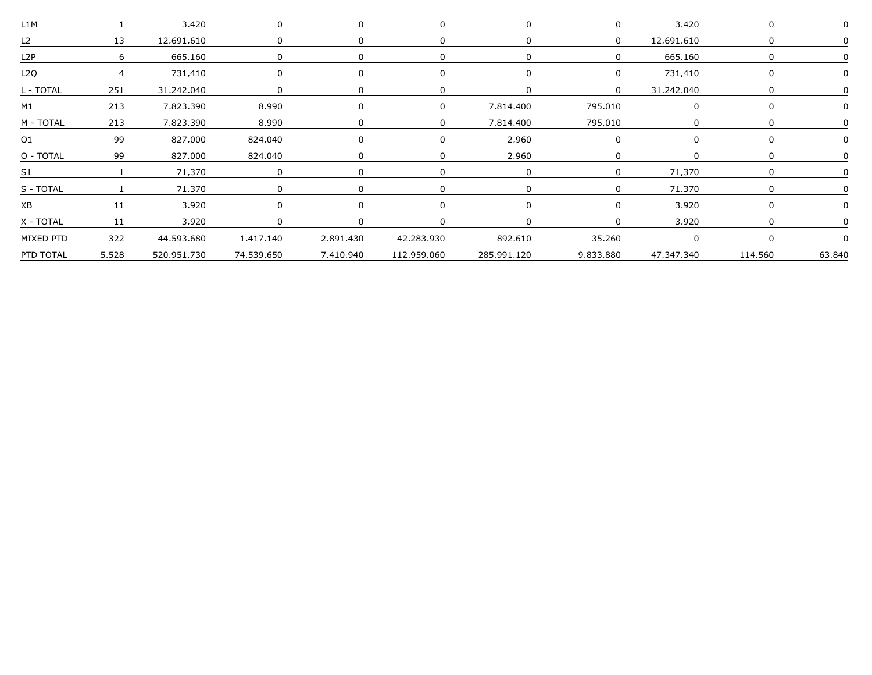| L <sub>1</sub> M |       | 3,420         |                                                       |           |             |             |           | 3.420      |         |        |
|------------------|-------|---------------|-------------------------------------------------------|-----------|-------------|-------------|-----------|------------|---------|--------|
| L <sub>2</sub>   | 13    | 12.691.610    |                                                       |           |             |             | $\Omega$  | 12.691.610 |         |        |
| L <sub>2</sub> P |       | 665.160       |                                                       |           |             |             |           | 665.160    |         |        |
| 1 2 O            |       | 731.410       |                                                       |           |             |             |           | 731.410    |         |        |
| L - TOTAL        | 251   | 31.242.040    |                                                       |           |             |             | $\Omega$  | 31.242.040 |         |        |
| M1               | 213   | 7.823.390     | 8.990                                                 |           |             | 7.814.400   | 795.010   |            |         |        |
| M - TOTAL        |       | 213 7.823.390 | 8,990                                                 |           |             | 7.814.400   | 795,010   |            |         |        |
| 01               | 99    | 827,000       | 824,040                                               |           |             | 2,960       |           |            |         |        |
| O - TOTAL        | 99    | 827.000       | 824.040                                               |           |             | 2.960       |           |            |         |        |
| S1               |       | 71.370        |                                                       |           |             |             |           | 71.370     |         |        |
| S - TOTAL        |       | 71.370        |                                                       |           |             |             |           | 71.370     |         |        |
|                  |       | 3.920         |                                                       |           |             |             |           | 3920       |         |        |
| X - TOTAL        | 11    | 3.920         |                                                       |           |             |             |           | 3.920      |         |        |
| MIXED PTD        | 322   |               | 44.593.680  1.417.140  2.891.430  42.283.930  892.610 |           |             |             | 35.260    |            |         |        |
| PTD TOTAL        | 5,528 | 520.951.730   | 74,539,650                                            | 7.410.940 | 112,959,060 | 285.991.120 | 9.833.880 | 47,347,340 | 114,560 | 63,840 |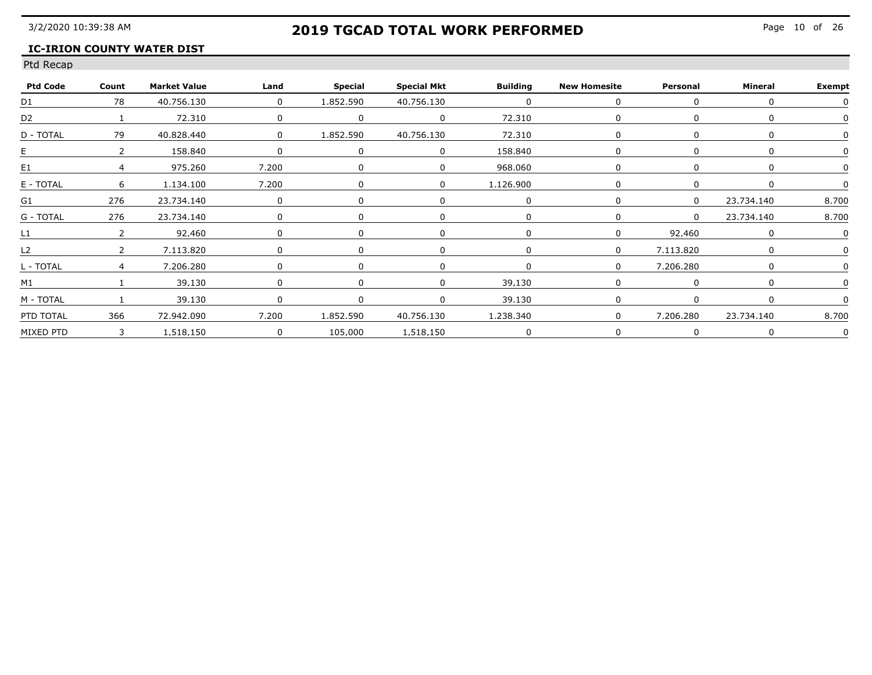### **IC-IRION COUNTY WATER DIST**

| <b>Ptd Code</b> | Count         | <b>Market Value</b> | Land                             | Special   | <b>Special Mkt</b> | <b>Building</b> | <b>New Homesite</b> | Personal       | Mineral    | <b>Exempt</b> |
|-----------------|---------------|---------------------|----------------------------------|-----------|--------------------|-----------------|---------------------|----------------|------------|---------------|
| D1              | 78            | 40.756.130          | $\begin{array}{c} 0 \end{array}$ | 1.852.590 | 40.756.130         |                 |                     |                |            |               |
| D <sub>2</sub>  |               | 72.310              |                                  |           |                    | 72.310          |                     |                |            |               |
| D - TOTAL       | 79            | 40.828.440          | $\begin{array}{c} 0 \end{array}$ | 1.852.590 | 40.756.130         | 72.310          |                     |                |            |               |
| E.              | $\mathcal{P}$ | 158.840             |                                  |           |                    | 158.840         |                     |                |            |               |
| E1              |               | 975.260             | 7.200                            |           |                    | 968.060         |                     |                |            |               |
| E - TOTAL       | 6             | 1,134,100           | 7,200                            |           |                    | 1,126,900       |                     |                |            |               |
| G1              | 276           | 23,734,140          |                                  |           |                    |                 |                     |                | 23.734.140 | 8,700         |
| G - TOTAL       | 276           | 23.734.140          |                                  |           |                    |                 |                     | $\overline{0}$ | 23.734.140 | 8.700         |
| L1              | $\mathcal{L}$ | 92.460              |                                  |           |                    |                 |                     | 92.460         |            |               |
| L2              |               | 7.113.820           |                                  |           |                    |                 |                     | 7.113.820      |            |               |
| L - TOTAL       | $\mathbf 4$   | 7.206.280           |                                  |           |                    |                 |                     | 7.206.280      |            |               |
| M1              |               | 39.130              |                                  |           |                    | 39 130          |                     |                |            |               |
| M - TOTAL       | $\sim$ 1      | 39.130              |                                  | $\Omega$  |                    | 39.130          |                     |                |            |               |
| PTD TOTAL       | 366           | 72,942,090          | 7,200                            | 1,852,590 | 40.756.130         | 1,238,340       | $\Omega$            | 7.206.280      | 23.734.140 | 8,700         |
| MIXED PTD       |               | 3 1.518.150         | $\overline{0}$                   |           | 105.000 1.518.150  |                 |                     |                |            |               |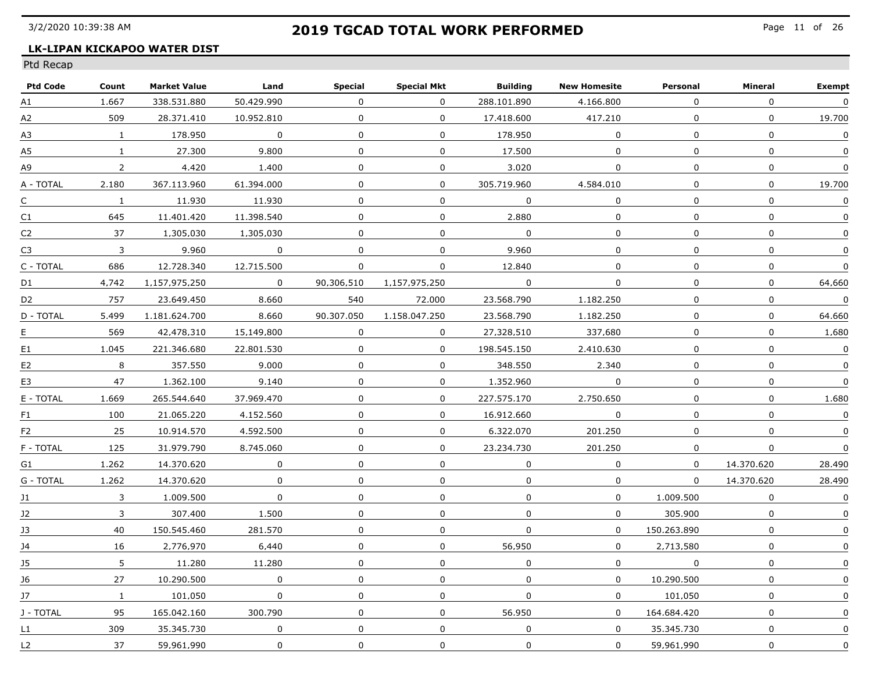### **LK-LIPAN KICKAPOO WATER DIST**

| <b>Ptd Code</b> | Count          | <b>Market Value</b> | Land           | Special        | <b>Special Mkt</b> | <b>Building</b> | <b>New Homesite</b> | Personal     | Mineral          | <b>Exempt</b>    |
|-----------------|----------------|---------------------|----------------|----------------|--------------------|-----------------|---------------------|--------------|------------------|------------------|
| А1              | 1.667          | 338.531.880         | 50.429.990     | $\Omega$       | $\Omega$           | 288.101.890     | 4.166.800           | $\Omega$     | $\Omega$         | $\mathbf 0$      |
| А2              | 509            | 28.371.410          | 10.952.810     | $\mathbf{0}$   | $\Omega$           | 17.418.600      | 417.210             | $\Omega$     | $\boldsymbol{0}$ | 19.700           |
| А3              | $\mathbf{1}$   | 178.950             | $\overline{0}$ | $\mathbf 0$    | $\mathbf{0}$       | 178.950         | $\mathbf{0}$        | $\mathbf 0$  | $\boldsymbol{0}$ | $\mathbf 0$      |
| A5              | $\mathbf{1}$   | 27.300              | 9.800          | 0              | $\Omega$           | 17.500          | $\mathbf 0$         | 0            | $\mathbf 0$      | $\Omega$         |
| А9              | $\overline{2}$ | 4.420               | 1.400          | $\mathbf{0}$   | 0                  | 3.020           | 0                   | 0            | $\pmb{0}$        | $\boldsymbol{0}$ |
| A - TOTAL       | 2.180          | 367.113.960         | 61.394.000     | $\mathbf 0$    | 0                  | 305,719,960     | 4,584,010           | $\mathbf 0$  | 0                | 19,700           |
| C               | $\mathbf{1}$   | 11,930              | 11.930         | $\mathbf{0}$   | $\mathbf{0}$       | $\mathbf 0$     | $\mathbf 0$         | $\mathbf{0}$ | $\mathbf 0$      | $\pmb{0}$        |
| C1              | 645            | 11.401.420          | 11.398.540     | $\Omega$       | $\mathbf 0$        | 2.880           | $\mathbf{0}$        | $\Omega$     | $\Omega$         | $\mathbf 0$      |
| C <sub>2</sub>  | 37             | 1.305.030           | 1.305.030      | $\Omega$       | $\mathbf 0$        | $\Omega$        | $\Omega$            | 0            | $\boldsymbol{0}$ | $\Omega$         |
| C3              | $\mathbf{3}$   | 9.960               | $\Omega$       | $\Omega$       | 0                  | 9.960           | 0                   | 0            | 0                | $\Omega$         |
| C - TOTAL       | 686            | 12.728.340          | 12.715.500     | $\Omega$       | 0                  | 12.840          | $\mathbf 0$         | $\Omega$     | $\mathbf 0$      | $\Omega$         |
| D1              | 4.742          | 1.157.975.250       | $\Omega$       | 90.306.510     | 1.157.975.250      | $\Omega$        | 0                   | $\Omega$     | 0                | 64.660           |
| D2              | 757            | 23.649.450          | 8.660          | 540            | 72.000             | 23.568.790      | 1.182.250           | $\Omega$     | $\Omega$         | $\mathbf 0$      |
| D - TOTAL       | 5.499          | 1.181.624.700       | 8,660          | 90.307.050     | 1.158.047.250      | 23.568.790      | 1,182,250           | $\mathbf{0}$ | $\mathbf 0$      | 64.660           |
| Ε               | 569            | 42,478,310          | 15,149,800     | $\overline{0}$ | $\mathbf 0$        | 27,328,510      | 337.680             | $\mathbf 0$  | $\mathbf 0$      | 1.680            |
| E1              | 1.045          | 221.346.680         | 22.801.530     | $\mathbf 0$    | $\mathbf{0}$       | 198.545.150     | 2.410.630           | $\mathbf{0}$ | $\mathbf 0$      | $\mathbf 0$      |
| E2              | 8              | 357.550             | 9.000          | 0              | $\Omega$           | 348.550         | 2.340               | 0            | 0                | $\mathbf 0$      |
| E3              | 47             | 1.362.100           | 9.140          | $\Omega$       | $\Omega$           | 1.352.960       | 0                   | 0            | $\mathbf 0$      | $\boldsymbol{0}$ |
| E - TOTAL       | 1.669          | 265.544.640         | 37.969.470     | $\Omega$       | $\Omega$           | 227.575.170     | 2.750.650           | 0            | $\Omega$         | 1.680            |
| F1              | 100            | 21.065.220          | 4.152.560      | 0              | $\Omega$           | 16.912.660      | $\Omega$            | $\Omega$     | $\Omega$         | $\mathbf 0$      |
| F <sub>2</sub>  | 25             | 10.914.570          | 4,592,500      | $\mathbf 0$    | 0                  | 6.322.070       | 201.250             | $\mathbf 0$  | 0                | 0                |
| F - TOTAL       | 125            | 31.979.790          | 8,745,060      | $\mathbf{0}$   | $\overline{0}$     | 23,234,730      | 201.250             | $\mathbf 0$  | $\pmb{0}$        | $\mathbf 0$      |
| G1              | 1.262          | 14.370.620          | $\Omega$       | 0              | 0                  | 0               | $\mathbf 0$         | 0            | 14.370.620       | 28.490           |
| G - TOTAL       | 1.262          | 14.370.620          | $\Omega$       | 0              | 0                  | 0               | $\Omega$            | $\Omega$     | 14.370.620       | 28.490           |
| 11              | $\mathbf{3}$   | 1.009.500           | 0              | 0              | $\mathbf 0$        | $\Omega$        | $\Omega$            | 1.009.500    | $\Omega$         | $\Omega$         |
| 12              | 3              | 307.400             | 1.500          | $\Omega$       | $\mathbf{0}$       | $\mathbf 0$     | $\Omega$            | 305.900      | $\mathbf 0$      | 0                |
| 13              | 40             | 150.545.460         | 281.570        | 0              | $\mathbf{0}$       | $\mathbf 0$     | $\Omega$            | 150.263.890  | $\mathbf 0$      | 0                |
| 34              | 16             | 2.776.970           | 6,440          | $\mathbf 0$    | 0                  | 56.950          | $\mathbf 0$         | 2,713,580    | $\mathbf 0$      | $\mathbf 0$      |
| J5              | 5              | 11,280              | 11.280         | $\mathbf 0$    | 0                  | $\mathbf 0$     | $\overline{0}$      | $\mathbf 0$  | $\pmb{0}$        | $\mathbf 0$      |
| J6              | 27             | 10.290.500          | $\mathbf 0$    | $\mathbf 0$    | 0                  | $\Omega$        | $\mathbf{0}$        | 10,290,500   | 0                | 0                |
| 17              | $\mathbf{1}$   | 101.050             | $\Omega$       | 0              | $\Omega$           | $\Omega$        | $\Omega$            | 101.050      | $\Omega$         | $\Omega$         |
| J - TOTAL       | 95             | 165.042.160         | 300.790        | $\mathbf{0}$   | $\Omega$           | 56.950          | $\Omega$            | 164.684.420  | $\mathbf 0$      | $\Omega$         |
| $\mathsf{L}1$   | 309            | 35.345.730          | $\mathbf 0$    | $\mathbf 0$    | $\mathbf 0$        | $\mathbf{0}$    | $\mathbf 0$         | 35.345.730   | $\boldsymbol{0}$ | 0                |
| L <sub>2</sub>  | 37             | 59.961.990          | $\Omega$       | 0              | 0                  | 0               | $\Omega$            | 59.961.990   | 0                | $\Omega$         |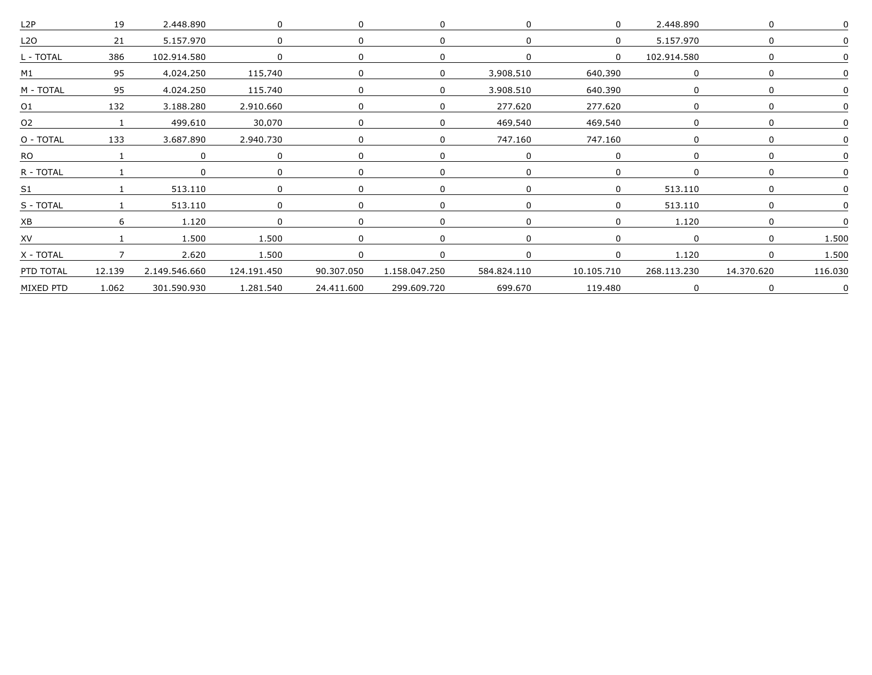| 19              | 2,448,890     |                |                                       |             |            |         | 2,448.890   |                                                    |             |
|-----------------|---------------|----------------|---------------------------------------|-------------|------------|---------|-------------|----------------------------------------------------|-------------|
| 21              | 5.157.970     |                |                                       |             |            |         | 5.157.970   |                                                    |             |
| 386             | 102.914.580   |                |                                       |             |            |         | 102.914.580 |                                                    |             |
| 95              | 4.024.250     | 115.740        |                                       | $\Omega$    | 3.908.510  | 640.390 |             |                                                    |             |
| 95              | 4.024.250     | 115.740        |                                       |             | 3.908.510  | 640.390 |             |                                                    |             |
| 132<br>01       | 3.188.280     |                |                                       |             | 277.620    | 277.620 |             |                                                    |             |
| $\sim$ $\sim$ 1 | 499.610       | 30,070         |                                       |             | 469.540    | 469.540 |             |                                                    |             |
| O - TOTAL 133   | 3,687,890     | 2,940,730      |                                       |             | 747,160    | 747.160 |             |                                                    |             |
|                 |               |                |                                       |             |            |         |             |                                                    |             |
|                 |               |                |                                       |             |            |         |             |                                                    |             |
|                 | 513.110       |                |                                       |             |            |         | 513.110     |                                                    |             |
|                 | 513.110       |                |                                       |             |            |         | 513.110     |                                                    |             |
|                 | 1.120         | $\Omega$       |                                       |             |            |         | 1.120       |                                                    |             |
|                 | 1.500         | 1.500          |                                       |             |            |         |             |                                                    | 1.500       |
|                 | 2,620         | 1,500          |                                       |             |            |         | 1,120       |                                                    | 1,500       |
| 12.139          | 2.149.546.660 |                |                                       |             |            |         |             | 14,370,620                                         | 116,030     |
| 1.062           | 301.590.930   |                |                                       | 299.609.720 | 699.670    | 119.480 |             |                                                    |             |
|                 |               | $\overline{7}$ | 2.910.660<br>124,191,450<br>1.281.540 |             | 24.411.600 |         |             | 90.307.050  1.158.047.250  584.824.110  10.105.710 | 268,113,230 |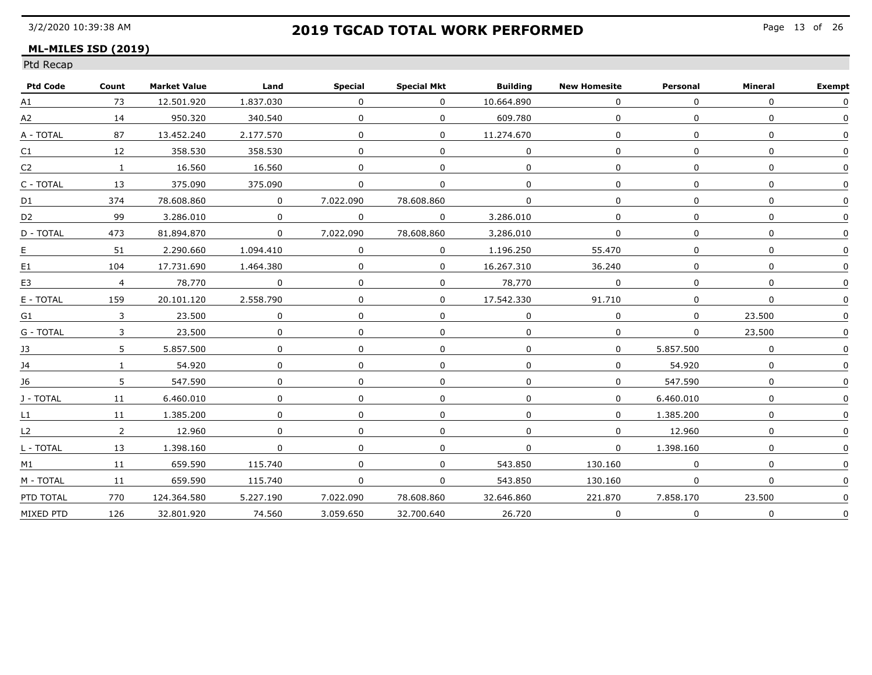### **ML-MILES ISD (2019)**

| <b>Ptd Code</b>                | Count          | <b>Market Value</b> | Land         | <b>Special</b> | <b>Special Mkt</b> | <b>Building</b> | <b>New Homesite</b> | Personal  | Mineral      | <b>Exempt</b> |
|--------------------------------|----------------|---------------------|--------------|----------------|--------------------|-----------------|---------------------|-----------|--------------|---------------|
| A1                             | 73             | 12.501.920          | 1.837.030    | $\Omega$       | $\Omega$           | 10.664.890      | $\Omega$            | $\Omega$  | $\Omega$     | $\Omega$      |
| A2                             | 14             | 950.320             | 340.540      | $\Omega$       | $\Omega$           | 609.780         | $\Omega$            | $\Omega$  | $\Omega$     |               |
| A - TOTAL                      | 87             | 13.452.240          | 2.177.570    | 0              | $\Omega$           | 11.274.670      | $\Omega$            | $\Omega$  | $\Omega$     |               |
| C1                             | 12             | 358.530             | 358.530      | $\Omega$       | $\Omega$           | $\Omega$        | $\mathbf{0}$        | $\Omega$  | $\Omega$     |               |
| C2                             | $\mathbf{1}$   | 16.560              | 16.560       | $\Omega$       | $\Omega$           | $\Omega$        | $\Omega$            | $\Omega$  | $\Omega$     |               |
| C - TOTAL                      | 13             | 375,090             | 375,090      | 0              | $\Omega$           | <sup>n</sup>    | $\Omega$            | $\Omega$  | n            |               |
| D1                             | 374            | 78.608.860          | $\mathbf 0$  | 7.022.090      | 78.608.860         | $\Omega$        | $\Omega$            | $\Omega$  | $\mathbf{0}$ |               |
| D <sub>2</sub>                 | 99             | 3.286.010           | $\Omega$     | 0              | $\Omega$           | 3.286.010       | 0                   | $\Omega$  | $\Omega$     |               |
| D - TOTAL                      | 473            | 81.894.870          | $\Omega$     | 7.022.090      | 78.608.860         | 3.286.010       | $\Omega$            | $\Omega$  | $\Omega$     |               |
| E <sub></sub>                  | 51             | 2.290.660           | 1.094.410    | $\Omega$       | $\Omega$           | 1.196.250       | 55.470              | $\Omega$  | $\Omega$     |               |
| E1                             | 104            | 17.731.690          | 1.464.380    | $\Omega$       | $\Omega$           | 16.267.310      | 36.240              | $\Omega$  | $\Omega$     |               |
| E <sub>3</sub>                 | $\overline{4}$ | 78.770              | $\Omega$     | $\Omega$       | $\Omega$           | 78.770          | 0                   | $\Omega$  | $\Omega$     |               |
| $\mathsf E$ - $\mathsf{TOTAL}$ | 159            | 20.101.120          | 2.558.790    | $\Omega$       | $\Omega$           | 17.542.330      | 91.710              | $\Omega$  | $\mathbf{0}$ |               |
| G1                             | 3              | 23,500              | $\mathbf{0}$ | $\Omega$       | 0                  |                 | $\Omega$            | $\Omega$  | 23,500       |               |
| G - TOTAL                      | 3              | 23,500              | $\Omega$     |                | 0                  |                 | $\Omega$            | $\Omega$  | 23.500       |               |
| 13                             | 5              | 5.857.500           | $\Omega$     | $\Omega$       | $\Omega$           | $\Omega$        | $\Omega$            | 5.857.500 | $\Omega$     |               |
| 14                             | $\mathbf{1}$   | 54.920              | $\Omega$     | $\Omega$       | $\Omega$           | $\Omega$        | $\Omega$            | 54.920    | $\mathbf{0}$ |               |
| 16                             | 5.             | 547.590             | $\Omega$     | $\Omega$       | 0                  |                 | 0                   | 547.590   |              |               |
| J - TOTAL                      | 11             | 6.460.010           | $\Omega$     | $\Omega$       | 0                  |                 | $\mathbf{0}$        | 6.460.010 |              |               |
| L1                             | 11             | 1.385.200           | 0            | $\Omega$       | 0                  | $\Omega$        | $\mathbf{0}$        | 1.385.200 | $\Omega$     |               |
| L2                             | $\overline{2}$ | 12,960              | $\mathbf{0}$ | $\Omega$       | 0                  | $\Omega$        | $\mathbf{0}$        | 12,960    | $\Omega$     |               |
| L - TOTAL                      | 13             | 1.398.160           | $\mathbf{0}$ | $\mathbf{0}$   | 0                  | $\mathbf{0}$    | $\mathbf{0}$        | 1,398,160 | $\Omega$     |               |
| M1                             | 11             | 659.590             | 115.740      |                | 0                  | 543.850         | 130.160             |           |              |               |
| M - TOTAL                      | 11             | 659.590             | 115.740      | $\Omega$       | $\Omega$           | 543.850         | 130.160             | $\Omega$  | $\Omega$     |               |
| PTD TOTAL                      | 770            | 124.364.580         | 5.227.190    | 7.022.090      | 78.608.860         | 32.646.860      | 221.870             | 7.858.170 | 23.500       |               |
| MIXED PTD                      | 126            | 32.801.920          | 74.560       | 3.059.650      | 32.700.640         | 26.720          | $\Omega$            | $\Omega$  | 0            | 0             |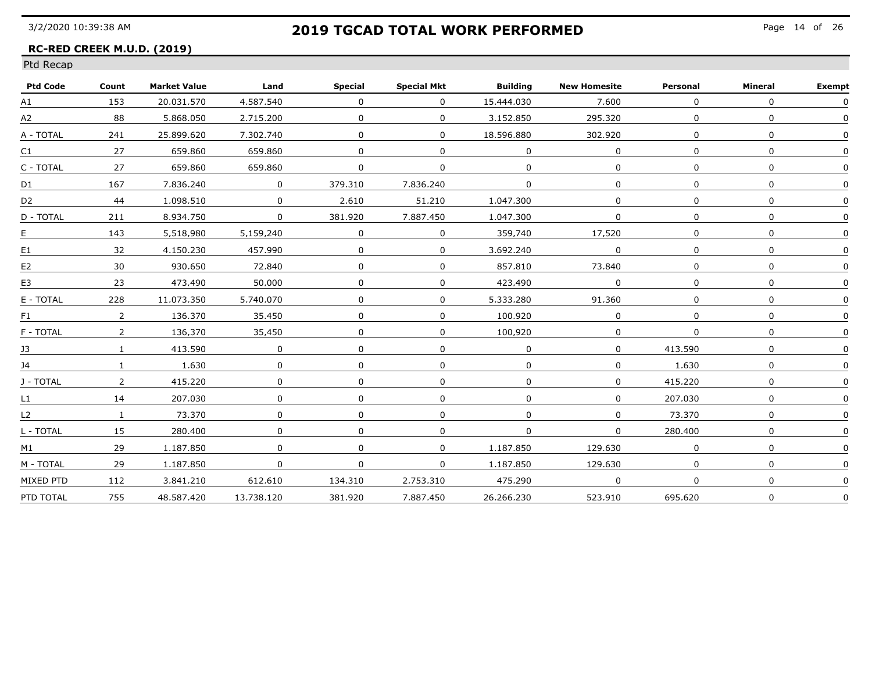### **RC-RED CREEK M.U.D. (2019)**

| <b>Ptd Code</b> | Count          | <b>Market Value</b> | Land           | <b>Special</b> | <b>Special Mkt</b> | <b>Building</b> | <b>New Homesite</b> | Personal | <b>Mineral</b> | <b>Exempt</b> |
|-----------------|----------------|---------------------|----------------|----------------|--------------------|-----------------|---------------------|----------|----------------|---------------|
| A1              | 153            | 20.031.570          | 4.587.540      | $\Omega$       | $\Omega$           | 15.444.030      | 7.600               | $\Omega$ | $\Omega$       | $\Omega$      |
| A2              | 88             | 5.868.050           | 2.715.200      | $\Omega$       | $\Omega$           | 3.152.850       | 295.320             | $\Omega$ | $\mathbf{0}$   | $\Omega$      |
| A - TOTAL       | 241            | 25.899.620          | 7.302.740      | $\Omega$       | $\Omega$           | 18.596.880      | 302.920             | $\Omega$ | $\Omega$       | <sup>n</sup>  |
| C1              | 27             | 659.860             | 659.860        | $\Omega$       | $\Omega$           | $\Omega$        | $\Omega$            |          | $\Omega$       |               |
| C - TOTAL       | 27             | 659.860             | 659.860        | $\Omega$       | 0                  | 0               | $\Omega$            |          | $\mathbf{0}$   |               |
| D1              | 167            | 7.836.240           | $\mathbf 0$    | 379,310        | 7.836.240          | $\Omega$        | $\Omega$            | $\Omega$ | $\mathbf{0}$   |               |
| D <sub>2</sub>  | 44             | 1.098.510           | $\overline{0}$ | 2.610          | 51,210             | 1.047.300       | $\Omega$            |          | $\Omega$       |               |
| D - TOTAL       | 211            | 8.934.750           | $\Omega$       | 381.920        | 7.887.450          | 1.047.300       | $\Omega$            |          | $\Omega$       |               |
| <u>E</u>        | 143            | 5.518.980           | 5.159.240      | $\Omega$       | 0                  | 359.740         | 17.520              |          | $\Omega$       |               |
| E <sub>1</sub>  | 32             | 4.150.230           | 457.990        | $\Omega$       | $\Omega$           | 3.692.240       | $\Omega$            |          | $\Omega$       |               |
| E <sub>2</sub>  | 30             | 930.650             | 72.840         |                | $\Omega$           | 857.810         | 73.840              |          | $\Omega$       |               |
| E <sub>3</sub>  | 23             | 473.490             | 50.000         |                | 0                  | 423.490         | $\Omega$            |          | $\Omega$       |               |
| E - TOTAL       | 228            | 11.073.350          | 5.740.070      |                | $\Omega$           | 5.333.280       | 91.360              |          | $\Omega$       |               |
| F <sub>1</sub>  | $\overline{2}$ | 136,370             | 35,450         |                | $\mathbf{0}$       | 100.920         | $\Omega$            |          | $\Omega$       |               |
| F - TOTAL       | $\mathbf{2}$   | 136,370             | 35,450         |                | $\Omega$           | 100.920         | $\Omega$            |          | $\Omega$       |               |
| 13              | $\mathbf{1}$   | 413.590             | $\Omega$       | $\Omega$       | $\Omega$           | $\Omega$        | 0                   | 413.590  | $\mathbf{0}$   |               |
| 14              | $\mathbf{1}$   | 1.630               | 0              | $\Omega$       | $\Omega$           | $\Omega$        | $\Omega$            | 1.630    | $\mathbf{0}$   |               |
| J - TOTAL       | 2              | 415.220             | $\Omega$       |                | 0                  |                 | $\Omega$            | 415.220  | $\Omega$       |               |
| L1              | 14             | 207.030             | $\Omega$       |                | 0                  |                 | $\Omega$            | 207.030  | $\Omega$       |               |
| L2              |                | 73.370              | $\Omega$       |                | $\Omega$           |                 | $\Omega$            | 73.370   | $\Omega$       |               |
| L - TOTAL       | 15             | 280.400             | 0              | $\Omega$       | 0                  | $\Omega$        | $\mathbf 0$         | 280,400  | $\Omega$       |               |
| M1              | 29             | 1.187.850           | $\Omega$       |                | $\Omega$           | 1,187,850       | 129.630             |          | $\Omega$       |               |
| M - TOTAL       | 29             | 1.187.850           | $\mathbf{0}$   | $\Omega$       | $\Omega$           | 1.187.850       | 129.630             |          |                |               |
| MIXED PTD       | 112            | 3.841.210           | 612.610        | 134.310        | 2.753.310          | 475.290         | $\Omega$            | $\Omega$ | $\mathbf{0}$   |               |
| PTD TOTAL       | 755            | 48.587.420          | 13.738.120     | 381.920        | 7.887.450          | 26.266.230      | 523.910             | 695.620  | $\Omega$       | $\mathbf{0}$  |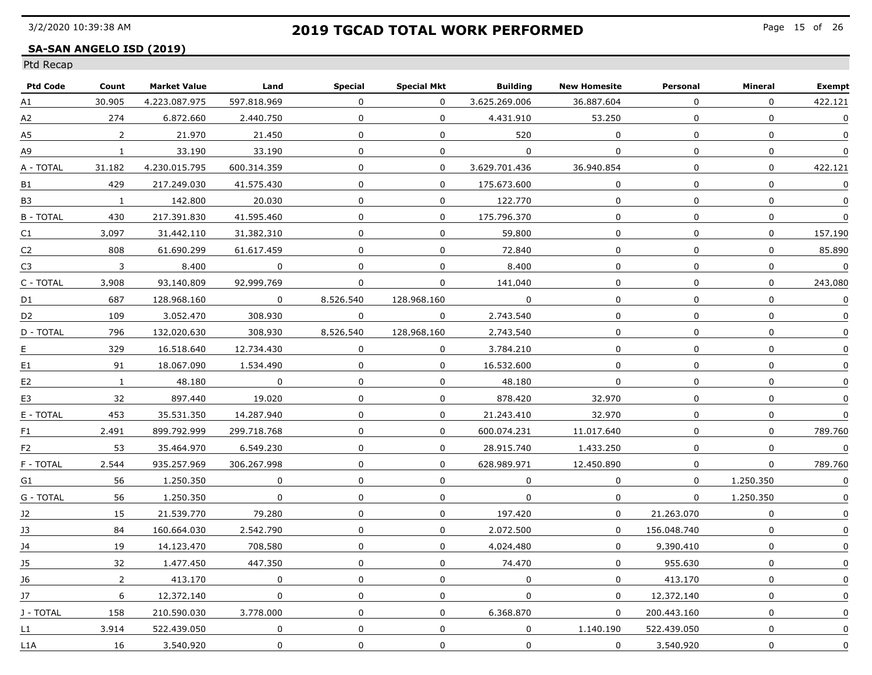### **SA-SAN ANGELO ISD (2019)**

| <b>Ptd Code</b>  | Count                    | <b>Market Value</b> | Land           | Special      | Special Mkt  | Building      | <b>New Homesite</b> | Personal     | Mineral          | <b>Exempt</b>    |
|------------------|--------------------------|---------------------|----------------|--------------|--------------|---------------|---------------------|--------------|------------------|------------------|
| A1               | 30.905                   | 4.223.087.975       | 597.818.969    | $\Omega$     | $\Omega$     | 3.625.269.006 | 36.887.604          | $\Omega$     | $\Omega$         | 422.121          |
| А2               | 274                      | 6.872.660           | 2.440.750      | $\Omega$     | $\Omega$     | 4.431.910     | 53.250              | $\Omega$     | $\mathbf{0}$     | $\mathbf 0$      |
| А5               | $\overline{2}$           | 21.970              | 21.450         | $\mathbf 0$  | $\mathbf 0$  | 520           | $\mathbf 0$         | $\Omega$     | $\mathbf 0$      | $\mathbf 0$      |
| А9               | $\mathbf{1}$             | 33.190              | 33.190         | $\mathbf 0$  | $\mathbf 0$  | $\Omega$      | $\mathbf 0$         | 0            | 0                | $\boldsymbol{0}$ |
| A - TOTAL        | 31.182                   | 4.230.015.795       | 600.314.359    | $\mathbf{0}$ | $\Omega$     | 3.629.701.436 | 36.940.854          | $\Omega$     | 0                | 422.121          |
| B1               | 429                      | 217.249.030         | 41.575.430     | 0            | $\mathbf{0}$ | 175.673.600   | 0                   | 0            | 0                | 0                |
| B3               | $\overline{\phantom{a}}$ | 142,800             | 20,030         | $\mathbf{0}$ | $\mathbf{0}$ | 122.770       | $\mathbf 0$         | $\mathbf 0$  | $\mathbf 0$      | 0                |
| <b>B - TOTAL</b> | 430                      | 217.391.830         | 41.595.460     | $\mathbf{0}$ | $\Omega$     | 175.796.370   | $\mathbf 0$         | $\Omega$     | $\boldsymbol{0}$ | $\mathbf 0$      |
| C1               | 3.097                    | 31.442.110          | 31.382.310     | $\mathbf 0$  | $\mathbf 0$  | 59.800        | $\mathbf 0$         | $\mathbf{0}$ | 0                | 157.190          |
| C2               | 808                      | 61.690.299          | 61.617.459     | $\Omega$     | $\Omega$     | 72.840        | $\Omega$            | 0            | 0                | 85.890           |
| C3               | $\overline{3}$           | 8.400               | $\overline{0}$ | $\Omega$     | 0            | 8.400         | 0                   | $\Omega$     | $\mathbf 0$      | $\mathbf 0$      |
| C - TOTAL        | 3.908                    | 93.140.809          | 92.999.769     | $\Omega$     | $\Omega$     | 141.040       | $\Omega$            | 0            | 0                | 243.080          |
| D1               | 687                      | 128.968.160         | $\overline{0}$ | 8.526.540    | 128.968.160  | $\Omega$      | $\mathbf{0}$        | $\mathbf{0}$ | $\mathbf 0$      | $\Omega$         |
| D2               | 109                      | 3.052.470           | 308.930        | $\mathbf{0}$ | $\mathbf{0}$ | 2.743.540     | $\mathbf 0$         | $\mathbf 0$  | $\mathbf 0$      | $\mathbf 0$      |
| D - TOTAL        | 796                      | 132.020.630         | 308.930        | 8,526,540    | 128.968.160  | 2.743.540     | 0                   | $\mathbf{0}$ | 0                | $\mathbf 0$      |
| E                | 329                      | 16.518.640          | 12.734.430     | $\Omega$     | $\Omega$     | 3.784.210     | $\mathbf{0}$        | $\Omega$     | $\Omega$         | $\Omega$         |
| E1               | 91                       | 18.067.090          | 1.534.490      | $\Omega$     | $\Omega$     | 16.532.600    | $\Omega$            | $\Omega$     | $\Omega$         | $\Omega$         |
| E <sub>2</sub>   | $\mathbf{1}$             | 48.180              | $\Omega$       | $\Omega$     | 0            | 48.180        | $\mathbf 0$         | 0            | 0                | 0                |
| E3               | 32                       | 897.440             | 19.020         | $\Omega$     | $\Omega$     | 878.420       | 32.970              | 0            | 0                | 0                |
| E - TOTAL        | 453                      | 35.531.350          | 14.287.940     | $\Omega$     | $\Omega$     | 21.243.410    | 32.970              | $\Omega$     | $\mathbf 0$      | $\boldsymbol{0}$ |
| F1               | 2.491                    | 899.792.999         | 299.718.768    | $\mathbf 0$  | $\mathbf 0$  | 600.074.231   | 11.017.640          | 0            | $\mathbf 0$      | 789.760          |
| F2               | 53                       | 35,464,970          | 6,549,230      | $\mathbf 0$  | 0            | 28.915.740    | 1,433,250           | 0            | $\pmb{0}$        | $\mathbf 0$      |
| F - TOTAL        | 2.544                    | 935.257.969         | 306.267.998    | 0            | $\Omega$     | 628.989.971   | 12.450.890          | 0            | $\Omega$         | 789.760          |
| G1               | 56                       | 1.250.350           | $\Omega$       | $\Omega$     | $\Omega$     | 0             | $\Omega$            | $\Omega$     | 1.250.350        | $\Omega$         |
| G - TOTAL        | 56                       | 1.250.350           | $\Omega$       | $\Omega$     | $\mathbf{0}$ | $\Omega$      | $\Omega$            | $\Omega$     | 1.250.350        | $\Omega$         |
| 12               | 15                       | 21.539.770          | 79.280         | $\Omega$     | $\Omega$     | 197.420       | $\Omega$            | 21.263.070   | 0                | 0                |
| 13               | 84                       | 160.664.030         | 2.542.790      | 0            | $\mathbf 0$  | 2.072.500     | $\Omega$            | 156.048.740  | $\boldsymbol{0}$ | $\Omega$         |
| J4               | 19                       | 14,123,470          | 708.580        | $\mathbf 0$  | $\mathbf 0$  | 4,024,480     | $\mathbf 0$         | 9.390.410    | $\mathbf 0$      | $\mathbf 0$      |
| J5               | 32                       | 1,477,450           | 447.350        | $\Omega$     | 0            | 74,470        | $\Omega$            | 955.630      | 0                | $\mathbf 0$      |
| J6               | $\overline{2}$           | 413,170             | $\mathbf 0$    | $\Omega$     | 0            | $\mathbf 0$   | $\mathbf{0}$        | 413,170      | $\mathbf 0$      |                  |
| 17               | 6                        | 12.372.140          | $\Omega$       | $\Omega$     | 0            | $\Omega$      | $\Omega$            | 12.372.140   | $\mathbf 0$      | 0                |
| J - TOTAL        | 158                      | 210.590.030         | 3.778.000      | $\Omega$     | $\Omega$     | 6.368.870     | $\mathbf{0}$        | 200.443.160  | $\mathbf 0$      | 0                |
| $\mathsf{L}1$    | 3.914                    | 522.439.050         | $\Omega$       | $\mathbf{0}$ | $\mathbf 0$  | $\Omega$      | 1.140.190           | 522.439.050  | $\mathbf 0$      | 0                |
| L1A              | 16                       | 3.540.920           | $\Omega$       | 0            | 0            | $\mathbf{0}$  | $\Omega$            | 3.540.920    | 0                | $\Omega$         |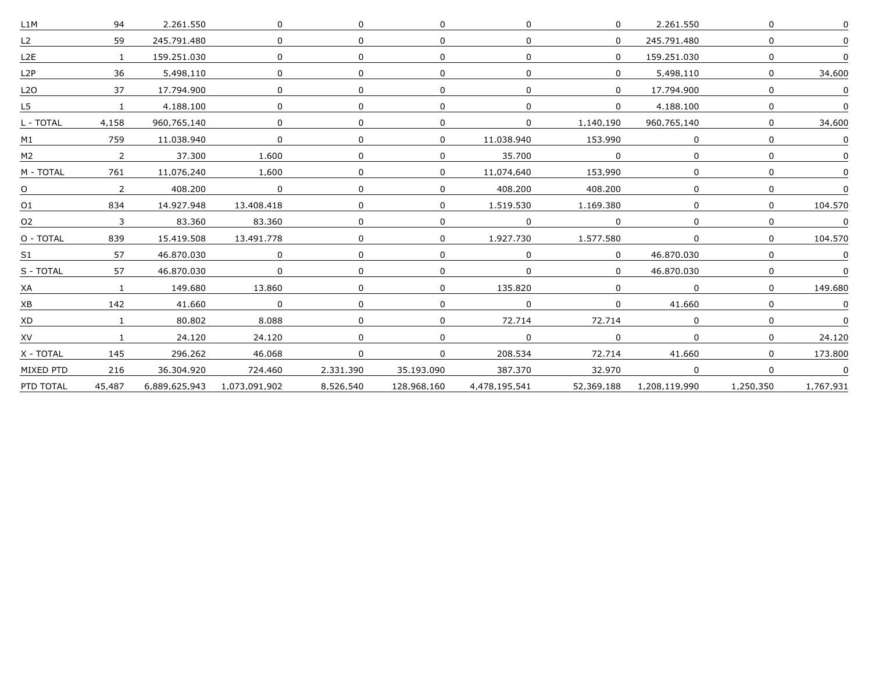| L1M                                    | 94             | 2.261.550     | $\Omega$                            |           | $\Omega$     |                | $\Omega$       | 2,261,550     | $\Omega$     |           |
|----------------------------------------|----------------|---------------|-------------------------------------|-----------|--------------|----------------|----------------|---------------|--------------|-----------|
| L2                                     | 59             | 245.791.480   | $\Omega$                            | $\Omega$  | $\Omega$     | $\Omega$       | $\Omega$       | 245.791.480   | $\Omega$     |           |
| L2E                                    | $\overline{1}$ | 159.251.030   | $\Omega$                            |           | $\Omega$     |                | $\Omega$       | 159.251.030   | $\Omega$     |           |
| L2P                                    | 36             | 5.498.110     |                                     |           | $\Omega$     |                |                | 5.498.110     | $\Omega$     | 34.600    |
| L <sub>2</sub> O                       | 37             | 17.794.900    | 0                                   |           | $\mathbf{0}$ |                | $\Omega$       | 17.794.900    | $\mathbf{0}$ |           |
| L5                                     | $\mathbf{1}$   | 4.188.100     | <sup>n</sup>                        |           | $\Omega$     |                | $\overline{0}$ | 4.188.100     | $\Omega$     |           |
| L - TOTAL                              | 4,158          | 960.765.140   | $\Omega$                            |           | $\mathbf{0}$ |                | 1,140,190      | 960.765.140   | $\Omega$     | 34,600    |
| M1                                     | 759            | 11.038.940    |                                     |           | $\mathbf{0}$ | 11.038.940     | 153,990        |               | $\Omega$     |           |
| M2                                     | $\overline{2}$ | 37.300        | 1.600                               |           | $\Omega$     | 35.700         | $\Omega$       | 0             | <sup>n</sup> |           |
| M - TOTAL                              | 761            | 11.076.240    | 1.600                               | $\Omega$  | $\Omega$     | 11.074.640     | 153.990        | $\Omega$      | $\Omega$     |           |
| $\begin{array}{c c} 0 & 2 \end{array}$ |                | 408.200       | $\begin{matrix} 0 & 0 \end{matrix}$ |           | $\Omega$     | 408.200        | 408.200        |               | n            |           |
| O <sub>1</sub>                         | 834            | 14.927.948    | 13.408.418                          |           | $\Omega$     | 1.519.530      | 1.169.380      |               | $\Omega$     | 104.570   |
| O <sub>2</sub>                         | $\overline{3}$ | 83.360        | 83.360                              | $\Omega$  | $\Omega$     | $\overline{0}$ | $\Omega$       | $\Omega$      | $\Omega$     | $\Omega$  |
| O - TOTAL                              | 839            | 15.419.508    | 13.491.778                          |           | $\Omega$     | 1.927.730      | 1.577.580      | 0             | $\Omega$     | 104.570   |
| S1                                     | 57             | 46.870.030    | $\Omega$                            |           | $\Omega$     |                | $\overline{0}$ | 46.870.030    | $\Omega$     |           |
| S - TOTAL                              | 57             | 46.870.030    | $\mathbf 0$                         |           | $\Omega$     | $\Omega$       | $\overline{0}$ | 46.870.030    | $\Omega$     |           |
| XA                                     |                | 149.680       | 13.860                              |           | $\Omega$     | 135.820        | $\Omega$       |               | $\Omega$     | 149.680   |
| XB                                     | 142            | 41.660        | $\Omega$                            |           | $\Omega$     |                | <sup>n</sup>   | 41.660        | $\Omega$     |           |
| XD                                     |                | 80.802        | 8.088                               |           | $\Omega$     | 72.714         | 72.714         |               | <sup>n</sup> |           |
| XV                                     | 1              | 24.120        | 24.120                              | 0         | $\Omega$     | $\Omega$       | $\Omega$       | 0             | $\mathbf{0}$ | 24.120    |
| X - TOTAL                              | 145            | 296.262       | 46.068                              | $\Omega$  | $\Omega$     | 208.534        | 72.714         | 41.660        | $\mathbf{0}$ | 173.800   |
| MIXED PTD                              | 216            | 36,304,920    | 724,460                             | 2,331,390 | 35.193.090   | 387,370        | 32.970         |               | $\Omega$     |           |
| PTD TOTAL                              | 45.487         | 6.889.625.943 | 1.073.091.902                       | 8.526.540 | 128.968.160  | 4,478,195,541  | 52.369.188     | 1,208,119,990 | 1,250,350    | 1.767.931 |
|                                        |                |               |                                     |           |              |                |                |               |              |           |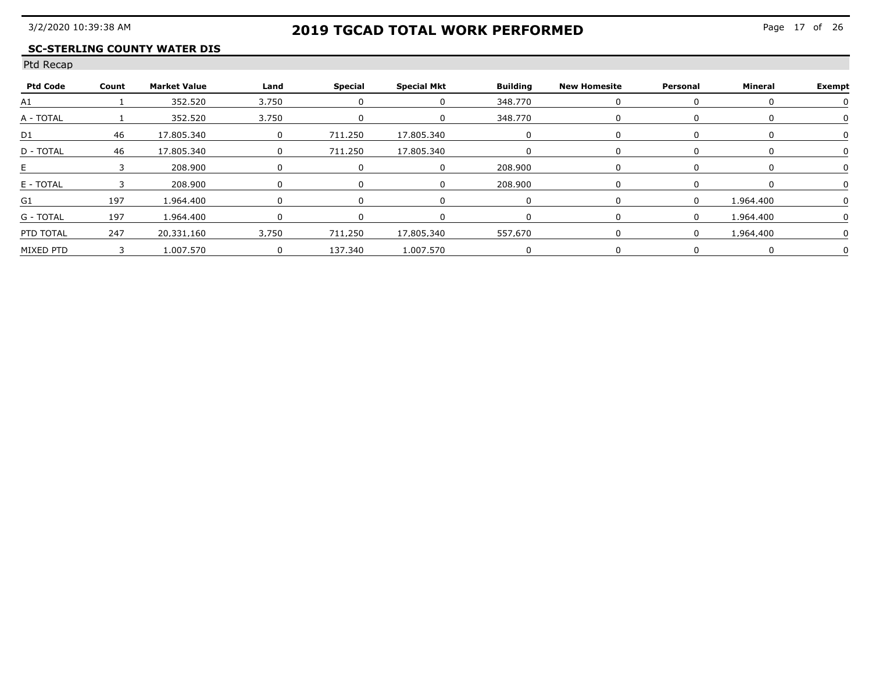### **SC-STERLING COUNTY WATER DIS**

| <b>Ptd Code</b> | Count | Market Value | Land                          | Special            | Special Mkt        | Building | New Homesite | Personal | Mineral   | <b>Exempt</b> |
|-----------------|-------|--------------|-------------------------------|--------------------|--------------------|----------|--------------|----------|-----------|---------------|
|                 |       | 352.520      | 3750                          |                    |                    | 348 770  |              |          |           |               |
| A - TOTAI       |       | 352.520      | 3750<br>--------------------- |                    |                    | 348 770  |              |          |           |               |
|                 |       | 17.805.340   |                               |                    | 711.250 17.805.340 |          |              |          |           |               |
| D - TOTAL       |       | 7 805 340    |                               | 711<br>250         | 17 805 340         |          |              |          |           |               |
|                 |       | 208.900      |                               |                    |                    | ong ann  |              |          |           |               |
| E - TOTAL       |       | 208,900      |                               |                    |                    | 208.900  |              |          |           |               |
|                 | 197   | 1.964.400    |                               |                    |                    |          |              |          | 1 964 400 |               |
| $G - TOTAI$     | 107   | 1 964 400    |                               |                    |                    |          |              |          | 964 400   |               |
| PTD TOTAL       | 247   | 20.331.160   | 3.750                         | 711.250 17.805.340 |                    | 557.670  |              |          | 964 400   |               |
| MIXED PTD       | 3     | 1.007.570    |                               | 137.340            | 1.007.570          |          |              |          |           |               |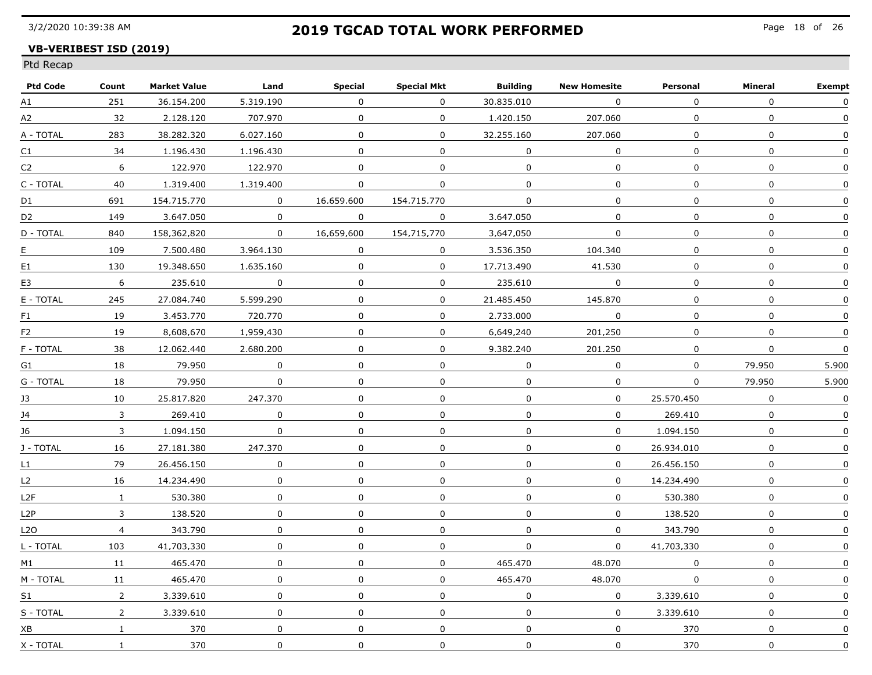### **VB-VERIBEST ISD (2019)**

| <b>Ptd Code</b>  | Count          | <b>Market Value</b> | Land         | Special          | <b>Special Mkt</b> | <b>Building</b> | <b>New Homesite</b> | Personal       | Mineral          | <b>Exempt</b> |
|------------------|----------------|---------------------|--------------|------------------|--------------------|-----------------|---------------------|----------------|------------------|---------------|
| A1               | 251            | 36.154.200          | 5.319.190    | $\mathbf{0}$     | $\Omega$           | 30.835.010      | $\Omega$            | $\Omega$       | $\Omega$         | $\Omega$      |
| A2               | 32             | 2.128.120           | 707.970      | $\mathbf 0$      | $\mathbf 0$        | 1.420.150       | 207.060             | $\mathbf 0$    | $\mathbf{0}$     | $\mathbf{0}$  |
| A - TOTAL        | 283            | 38.282.320          | 6.027.160    | 0                | $\Omega$           | 32.255.160      | 207.060             | $\Omega$       | $\Omega$         | 0             |
| C1               | 34             | 1.196.430           | 1.196.430    | 0                | $\mathbf 0$        | $\Omega$        | $\Omega$            | $\Omega$       | 0                | $\Omega$      |
| C <sub>2</sub>   | 6              | 122.970             | 122.970      | 0                | 0                  | 0               | 0                   | $\mathbf{0}$   | 0                | $\Omega$      |
| C - TOTAL        | 40             | 1,319,400           | 1,319,400    | 0                | $\mathbf 0$        | $\mathbf 0$     | 0                   | 0              | $\mathbf 0$      | 0             |
| D1               | 691            | 154.715.770         | $\mathbf 0$  | 16.659.600       | 154.715.770        | $\mathbf 0$     | $\mathbf 0$         | 0              | $\mathbf 0$      | 0             |
| D <sub>2</sub>   | 149            | 3.647.050           | $\Omega$     | $\Omega$         | $\mathbf 0$        | 3.647.050       | $\Omega$            | 0              | $\mathbf 0$      | 0             |
| D - TOTAL        | 840            | 158.362.820         | $\mathbf 0$  | 16.659.600       | 154.715.770        | 3.647.050       | $\mathbf 0$         | $\mathbf 0$    | $\mathbf{0}$     | 0             |
| E                | 109            | 7.500.480           | 3.964.130    | 0                | $\mathbf 0$        | 3.536.350       | 104.340             | 0              | $\Omega$         | 0             |
| E1               | 130            | 19.348.650          | 1.635.160    | 0                | 0                  | 17.713.490      | 41.530              | 0              | 0                | $\Omega$      |
| E3               | 6              | 235.610             | $\Omega$     | 0                | $\mathbf 0$        | 235.610         | $\Omega$            | 0              | 0                | $\Omega$      |
| E - TOTAL        | 245            | 27.084.740          | 5.599.290    | $\mathbf 0$      | $\Omega$           | 21.485.450      | 145.870             | $\mathbf{0}$   | $\mathbf 0$      | 0             |
| F1               | 19             | 3.453.770           | 720.770      | 0                | $\mathbf 0$        | 2.733.000       | $\mathbf 0$         | $\overline{0}$ | $\mathbf 0$      | $\mathbf 0$   |
| F <sub>2</sub>   | 19             | 8.608.670           | 1.959.430    | 0                | $\mathbf 0$        | 6.649.240       | 201.250             | $\mathbf 0$    | 0                | 0             |
| F - TOTAL        | 38             | 12.062.440          | 2.680.200    | 0                | $\mathbf{0}$       | 9.382.240       | 201.250             | 0              | 0                | 0             |
| G1               | 18             | 79.950              | $\Omega$     | 0                | 0                  | $\mathbf 0$     | $\mathbf 0$         | 0              | 79.950           | 5.900         |
| G - TOTAL        | 18             | 79.950              | $\Omega$     | $\boldsymbol{0}$ | 0                  | $\mathbf 0$     | $\mathbf 0$         | 0              | 79.950           | 5.900         |
| 13               | 10             | 25.817.820          | 247.370      | 0                | $\Omega$           | $\Omega$        | $\mathbf{0}$        | 25.570.450     | 0                | $\mathbf 0$   |
| 14               | $\overline{3}$ | 269.410             | $\mathbf{0}$ | $\mathbf 0$      | $\mathbf 0$        | $\mathbf 0$     | $\Omega$            | 269.410        | $\mathbf{0}$     | $\mathbf{0}$  |
| J6               | $\mathbf{3}$   | 1.094.150           | $\mathbf 0$  | $\pmb{0}$        | 0                  | $\mathbf 0$     | $\mathbf 0$         | 1.094.150      | $\pmb{0}$        | $\mathbf 0$   |
| J - TOTAL        | 16             | 27.181.380          | 247,370      | 0                | 0                  | 0               | 0                   | 26.934.010     | 0                | 0             |
| L1               | 79             | 26.456.150          | 0            | 0                | $\mathbf 0$        | 0               | $\Omega$            | 26.456.150     | 0                | $\Omega$      |
| L2               | 16             | 14.234.490          | 0            | $\boldsymbol{0}$ | 0                  | 0               | 0                   | 14.234.490     | 0                |               |
| L2F              | $\mathbf{1}$   | 530.380             | $\Omega$     | 0                | $\Omega$           | 0               | $\Omega$            | 530.380        | $\Omega$         | 0             |
| L <sub>2</sub> P | $\overline{3}$ | 138.520             | $\mathbf 0$  | 0                | $\mathbf{0}$       | $\Omega$        | $\overline{0}$      | 138.520        | $\mathbf{0}$     | $\Omega$      |
| L <sub>2</sub> O | $\overline{4}$ | 343.790             | 0            | 0                | $\Omega$           | $\mathbf 0$     | $\mathbf 0$         | 343.790        | $\boldsymbol{0}$ | $\Omega$      |
| L - TOTAL        | 103            | 41.703.330          | 0            | 0                | 0                  | $\mathbf 0$     | $\mathbf 0$         | 41.703.330     | $\pmb{0}$        | 0             |
| M1               | 11             | 465,470             | $\mathbf 0$  | 0                | $\mathbf{0}$       | 465,470         | 48,070              | 0              | $\pmb{0}$        | $\mathbf 0$   |
| M - TOTAL        | 11             | 465,470             | $\mathbf 0$  | $\mathbf 0$      | $\mathbf 0$        | 465.470         | 48.070              | 0              | 0                | $\mathbf 0$   |
| S1               | $\overline{2}$ | 3.339.610           | 0            | 0                | $\mathbf{0}$       | $\Omega$        | $\Omega$            | 3.339.610      | 0                | $\Omega$      |
| S - TOTAL        | $\overline{2}$ | 3.339.610           | $\mathbf 0$  | $\mathbf 0$      | $\Omega$           | $\mathbf 0$     | $\Omega$            | 3.339.610      | $\mathbf 0$      | $\mathbf 0$   |
| XB               | $\mathbf{1}$   | 370                 | $\mathbf 0$  | 0                | $\mathbf 0$        | $\mathbf 0$     | $\mathbf{0}$        | 370            | 0                | 0             |
| X - TOTAL        | $\mathbf{1}$   | 370                 | 0            | 0                | 0                  | 0               | $\mathbf{0}$        | 370            | 0                | 0             |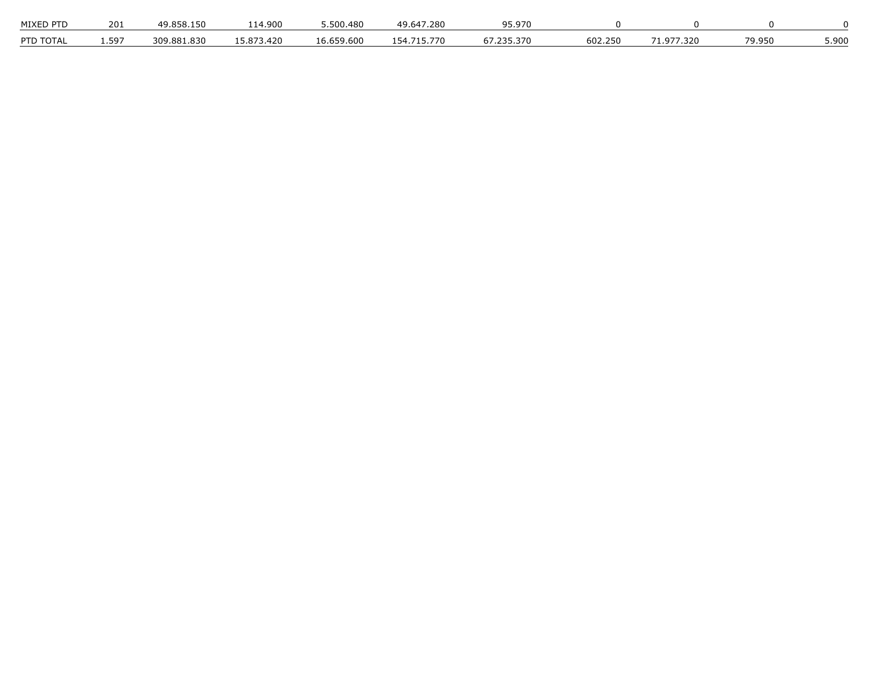| MIXED PTD                   | 201       | $^{\circ}$ 1.50 $^{\circ}$<br>49.8 <sup>F</sup> | 14,900                   | ີ 500 <i>.</i> 480 | .280<br>49 F<br>. . <del>. .</del> | .970     |         |       |        |       |
|-----------------------------|-----------|-------------------------------------------------|--------------------------|--------------------|------------------------------------|----------|---------|-------|--------|-------|
| PTD TOT $\cdot$<br>:) I Д I | $.59^{-}$ | 309.881.830                                     | 73.420<br>ר הח<br>$\sim$ | .600<br>16 659     | $\prime$                           | 370<br>, | 602.250 | 7.320 | 79.950 | 5.900 |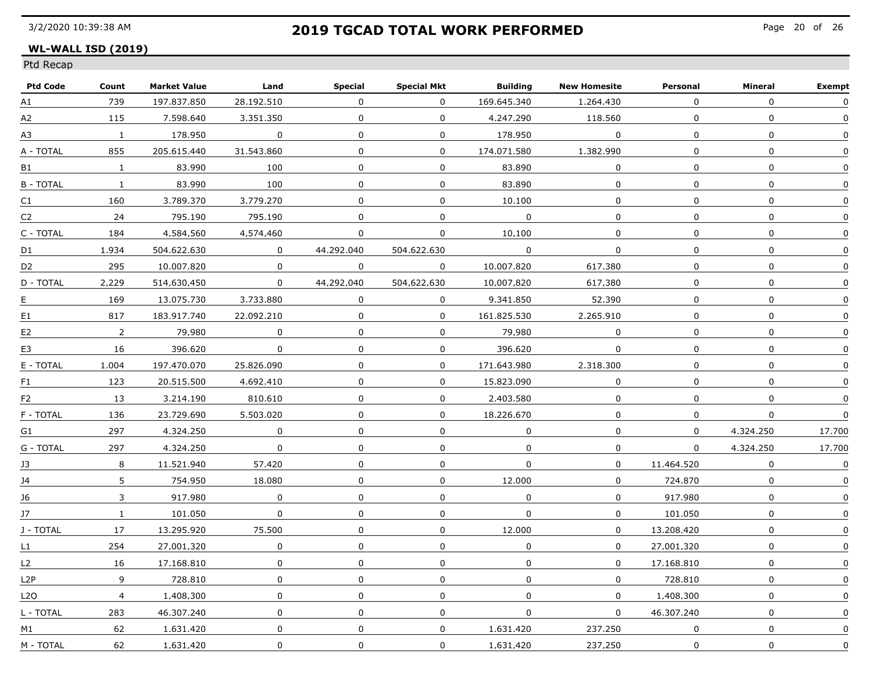### **WL-WALL ISD (2019)**

| <b>Ptd Code</b>  | Count          | <b>Market Value</b> | Land           | Special          | Special Mkt    | <b>Building</b> | <b>New Homesite</b> | Personal     | Mineral     | <b>Exempt</b>    |
|------------------|----------------|---------------------|----------------|------------------|----------------|-----------------|---------------------|--------------|-------------|------------------|
| A1               | 739            | 197.837.850         | 28.192.510     | $\Omega$         | $\Omega$       | 169.645.340     | 1.264.430           | $\Omega$     | $\Omega$    | 0                |
| A2               | 115            | 7.598.640           | 3.351.350      | 0                | $\Omega$       | 4.247.290       | 118.560             | $\Omega$     | $\Omega$    | $\Omega$         |
| А3               | $\mathbf{1}$   | 178.950             | $\Omega$       | 0                | $\Omega$       | 178.950         | $\Omega$            | $\Omega$     | 0           | 0                |
| A - TOTAL        | 855            | 205.615.440         | 31.543.860     | $\Omega$         | $\Omega$       | 174.071.580     | 1.382.990           | 0            | $\Omega$    | $\Omega$         |
| B1               | $\mathbf{1}$   | 83.990              | 100            | $\Omega$         | $\Omega$       | 83.890          | $\mathbf{0}$        | $\Omega$     | 0           | 0                |
| <b>B-TOTAL</b>   | $\mathbf{1}$   | 83.990              | 100            | 0                | $\mathbf 0$    | 83.890          | $\mathbf 0$         | 0            | 0           | 0                |
| C1               | 160            | 3.789.370           | 3.779.270      | $\mathbf 0$      | $\overline{0}$ | 10,100          | $\mathbf 0$         | $\mathbf 0$  | 0           | 0                |
| C2               | 24             | 795.190             | 795.190        | 0                | $\Omega$       | $\Omega$        | $\mathbf{0}$        | $\Omega$     | $\Omega$    | $\mathbf 0$      |
| C - TOTAL        | 184            | 4.584.560           | 4.574.460      | 0                | $\Omega$       | 10.100          | $\Omega$            | $\Omega$     | 0           | 0                |
| D1               | 1.934          | 504.622.630         | $\Omega$       | 44.292.040       | 504.622.630    | $\Omega$        | $\Omega$            | $\Omega$     | $\Omega$    | $\Omega$         |
| D <sub>2</sub>   | 295            | 10.007.820          | $\Omega$       | 0                | $\mathbf{0}$   | 10.007.820      | 617.380             | $\Omega$     | 0           | $\Omega$         |
| D - TOTAL        | 2.229          | 514.630.450         | $\Omega$       | 44.292.040       | 504.622.630    | 10.007.820      | 617.380             | 0            | 0           | $\Omega$         |
| E                | 169            | 13.075.730          | 3.733.880      | $\Omega$         | $\Omega$       | 9.341.850       | 52.390              | $\Omega$     | 0           | 0                |
| E1               | 817            | 183.917.740         | 22.092.210     | 0                | $\overline{0}$ | 161.825.530     | 2.265.910           | $\mathbf 0$  | $\mathbf 0$ | 0                |
| E <sub>2</sub>   | $\overline{2}$ | 79,980              | $\mathbf 0$    | $\mathbf 0$      | $\overline{0}$ | 79.980          | $\mathbf 0$         | $\Omega$     | $\mathbf 0$ | $\mathbf 0$      |
| E3               | 16             | 396.620             | $\Omega$       | $\mathbf 0$      | $\Omega$       | 396.620         | $\Omega$            | $\Omega$     | $\pmb{0}$   | $\Omega$         |
| E - TOTAL        | 1.004          | 197.470.070         | 25.826.090     | $\boldsymbol{0}$ | $\Omega$       | 171.643.980     | 2.318.300           | $\mathbf{0}$ | 0           | $\mathbf 0$      |
| F1               | 123            | 20.515.500          | 4.692.410      | 0                | 0              | 15.823.090      | 0                   | $\Omega$     | 0           | $\Omega$         |
| F <sub>2</sub>   | 13             | 3.214.190           | 810.610        | 0                | $\Omega$       | 2.403.580       | $\Omega$            | $\Omega$     | 0           | $\mathbf{0}$     |
| F - TOTAL        | 136            | 23.729.690          | 5.503.020      | $\mathbf 0$      | $\Omega$       | 18.226.670      | $\Omega$            | $\Omega$     | 0           | $\boldsymbol{0}$ |
| G1               | 297            | 4.324.250           | $\overline{0}$ | $\mathbf 0$      | $\mathbf 0$    | $\mathbf 0$     | $\mathbf 0$         | $\mathbf 0$  | 4.324.250   | 17.700           |
| G - TOTAL        | 297            | 4,324,250           | $\overline{0}$ | 0                | $\mathbf 0$    | $\mathbf 0$     | $\mathbf 0$         | $\mathbf{0}$ | 4,324,250   | 17.700           |
| 13               | 8              | 11.521.940          | 57.420         | 0                | $\mathbf 0$    | $\mathbf{0}$    | $\Omega$            | 11.464.520   | $\Omega$    | 0                |
| 14               | 5              | 754.950             | 18.080         | $\Omega$         | 0              | 12.000          | $\Omega$            | 724.870      | 0           | 0                |
| 16               | 3              | 917.980             | $\Omega$       | 0                | $\Omega$       | 0               | $\Omega$            | 917.980      | 0           | 0                |
| 17               | $\mathbf{1}$   | 101.050             | $\Omega$       | 0                | $\Omega$       | $\mathbf 0$     | $\Omega$            | 101.050      | 0           | 0                |
| J - TOTAL        | 17             | 13.295.920          | 75.500         | 0                | $\Omega$       | 12.000          | $\Omega$            | 13.208.420   | $\Omega$    | 0                |
| L1               | 254            | 27.001.320          | $\mathsf{O}$   | $\pmb{0}$        | $\mathbf 0$    | $\mathbf 0$     | $\mathsf{O}$        | 27.001.320   | 0           | 0                |
| L2               | 16             | 17.168.810          | $\mathbf 0$    | $\mathbf 0$      | $\mathbf 0$    | $\mathbf 0$     | $\mathbf 0$         | 17.168.810   | 0           | $\mathsf 0$      |
| L2P              | 9              | 728.810             | $\mathbf 0$    | $\mathbf 0$      | $\mathbf 0$    | $\mathbf 0$     | $\Omega$            | 728.810      | 0           | $\mathbf 0$      |
| L <sub>2</sub> O | $\overline{4}$ | 1.408.300           | $\Omega$       | 0                | $\mathbf 0$    | $\mathbf 0$     | $\Omega$            | 1.408.300    | 0           | 0                |
| L - TOTAL        | 283            | 46.307.240          | $\Omega$       | $\mathbf 0$      | $\Omega$       | $\Omega$        | $\Omega$            | 46.307.240   | 0           | 0                |
| M1               | 62             | 1.631.420           | $\Omega$       | $\pmb{0}$        | $\mathbf 0$    | 1.631.420       | 237.250             | $\Omega$     | $\Omega$    | $\Omega$         |
| M - TOTAL        | 62             | 1.631.420           | 0              | $\boldsymbol{0}$ | $\mathbf 0$    | 1.631.420       | 237.250             | $\Omega$     | 0           | $\Omega$         |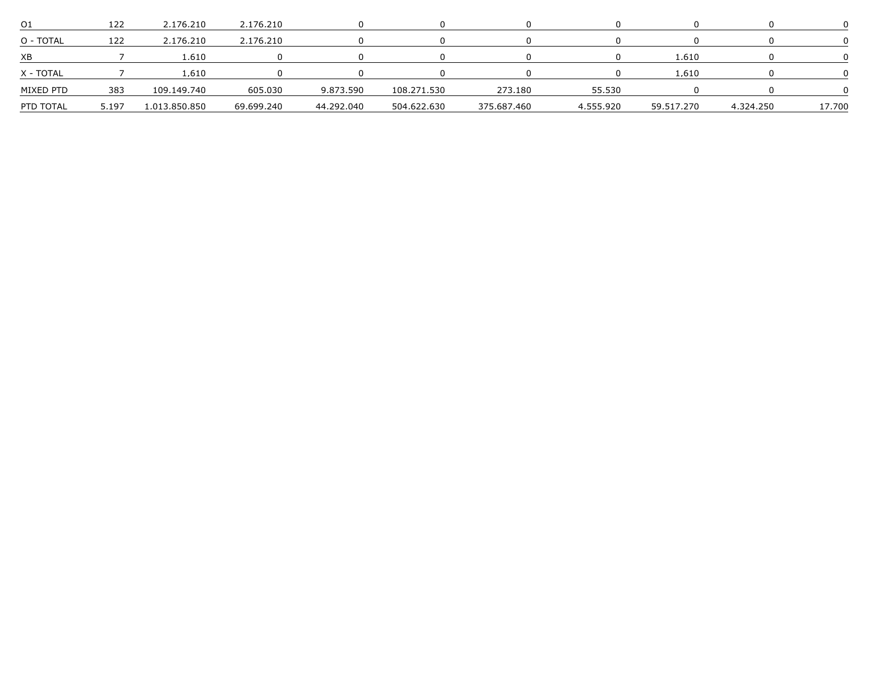| O1        |       | 2.176.210     | 2,176,210  |            |             |             |           |            |           |        |
|-----------|-------|---------------|------------|------------|-------------|-------------|-----------|------------|-----------|--------|
| O - TOTAL |       | 2.176.210     | 2.176.210  |            |             |             |           |            |           |        |
| XB        |       | .610          |            |            |             |             |           | -610       |           |        |
| X - TOTAL |       | .610          |            |            |             |             |           | 610        |           |        |
| MIXFD PTD | 383   | 109.149.740   | 605.030    | 9.873.590  | 108.271.530 | 273.180     | 55 530    |            |           |        |
| PTD TOTAL | 5.197 | 1 013 850 850 | 69.699.240 | 44.292.040 | 504.622.630 | 375.687.460 | 4.555.920 | 59.517.270 | 4 324 250 | 17.700 |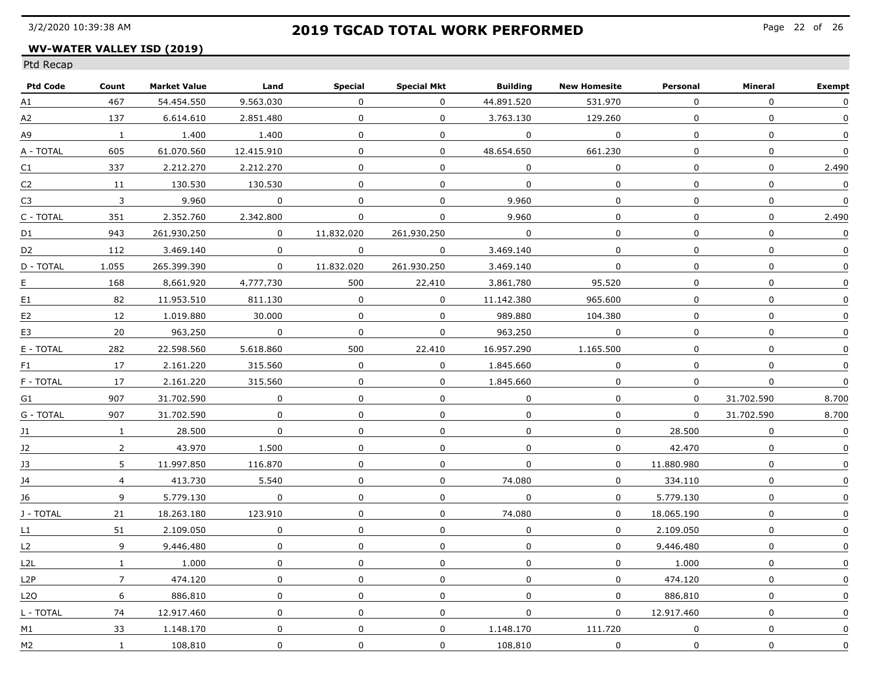### **WV-WATER VALLEY ISD (2019)**

| <b>Ptd Code</b> | Count          | <b>Market Value</b> | Land                    | Special      | <b>Special Mkt</b> | <b>Building</b> | <b>New Homesite</b> | Personal     | Mineral          | <b>Exempt</b>    |
|-----------------|----------------|---------------------|-------------------------|--------------|--------------------|-----------------|---------------------|--------------|------------------|------------------|
| A1              | 467            | 54.454.550          | 9.563.030               | $\Omega$     | $\Omega$           | 44.891.520      | 531.970             | $\Omega$     | $\Omega$         | 0                |
| A2              | 137            | 6.614.610           | 2.851.480               | $\Omega$     | $\Omega$           | 3.763.130       | 129.260             | $\Omega$     | $\mathbf{0}$     | $\mathbf{0}$     |
| А9              | $\mathbf{1}$   | 1.400               | 1.400                   | $\Omega$     | $\mathbf{0}$       | $\Omega$        | $\Omega$            | $\Omega$     | $\boldsymbol{0}$ | $\Omega$         |
| A - TOTAL       | 605            | 61.070.560          | 12.415.910              | $\Omega$     | 0                  | 48.654.650      | 661.230             | $\Omega$     | $\mathbf 0$      | $\mathbf 0$      |
| C <sub>1</sub>  | 337            | 2.212.270           | 2.212.270               | $\Omega$     | $\Omega$           | $\Omega$        | $\Omega$            | $\Omega$     | 0                | 2.490            |
| C2              | 11             | 130,530             | 130,530                 | $\Omega$     | 0                  | $\mathbf{0}$    | 0                   | 0            | $\mathbf 0$      | $\mathbf 0$      |
| C3              | $\overline{3}$ | 9,960               | $\overline{0}$          | $\mathbf 0$  | $\mathbf 0$        | 9.960           | 0                   | $\mathbf 0$  | $\mathbf 0$      | $\mathbf 0$      |
| C - TOTAL       | 351            | 2.352.760           | 2.342.800               | $\Omega$     | $\Omega$           | 9.960           | $\mathbf{0}$        | $\Omega$     | $\Omega$         | 2.490            |
| D1              | 943            | 261.930.250         | $\Omega$                | 11.832.020   | 261.930.250        | $\Omega$        | $\mathbf 0$         | $\Omega$     | $\mathbf 0$      | $\mathbf 0$      |
| D <sub>2</sub>  | 112            | 3.469.140           | $\Omega$                | $\Omega$     | $\Omega$           | 3.469.140       | $\Omega$            | $\Omega$     | $\boldsymbol{0}$ | $\boldsymbol{0}$ |
| D - TOTAL       | 1.055          | 265.399.390         | $\mathbf{0}$            | 11.832.020   | 261.930.250        | 3.469.140       | $\mathbf 0$         | 0            | $\mathbf 0$      | $\mathbf 0$      |
| E               | 168            | 8.661.920           | 4.777.730               | 500          | 22.410             | 3.861.780       | 95.520              | 0            | $\mathbf 0$      | 0                |
| E1              | 82             | 11.953.510          | 811.130                 | $\Omega$     | $\Omega$           | 11.142.380      | 965.600             | $\Omega$     | $\mathbf 0$      | $\Omega$         |
| E2              | 12             | 1.019.880           | 30,000                  | $\Omega$     | $\mathbf 0$        | 989.880         | 104,380             | $\mathbf{0}$ | $\mathbf 0$      | $\Omega$         |
| E3              | 20             | 963.250             | $\overline{\mathbf{0}}$ | $\mathbf 0$  | $\mathbf 0$        | 963.250         | $\mathbf 0$         | 0            | $\mathbf 0$      | $\mathsf 0$      |
| E - TOTAL       | 282            | 22.598.560          | 5.618.860               | 500          | 22.410             | 16.957.290      | 1.165.500           | $\Omega$     | $\mathbf 0$      | $\Omega$         |
| F1              | 17             | 2.161.220           | 315.560                 | $\Omega$     | $\mathbf 0$        | 1.845.660       | $\Omega$            | $\Omega$     | $\mathbf 0$      | $\Omega$         |
| F - TOTAL       | 17             | 2.161.220           | 315.560                 | $\mathbf 0$  | $\mathbf 0$        | 1.845.660       | $\mathbf{0}$        | $\Omega$     | $\mathbf 0$      | $\Omega$         |
| G1              | 907            | 31.702.590          | $\Omega$                | $\Omega$     | $\mathbf{0}$       | $\Omega$        | $\mathbf{0}$        | $\Omega$     | 31.702.590       | 8.700            |
| G - TOTAL       | 907            | 31.702.590          | 0                       | $\Omega$     | $\Omega$           | $\Omega$        | $\Omega$            | $\Omega$     | 31.702.590       | 8.700            |
| J1              | $\mathbf{1}$   | 28,500              | $\mathbf 0$             | $\mathbf 0$  | $\mathsf{O}$       | $\mathbf 0$     | $\mathbf 0$         | 28,500       | $\mathbf 0$      | $\pmb{0}$        |
| J2              | $\overline{2}$ | 43.970              | 1,500                   | $\mathbf 0$  | $\mathbf 0$        | $\overline{0}$  | $\mathbf 0$         | 42,470       | $\pmb{0}$        | $\mathbf 0$      |
| 13              | 5              | 11.997.850          | 116.870                 | 0            | 0                  | $\Omega$        | $\Omega$            | 11.880.980   | $\mathbf 0$      | 0                |
| 14              | $\overline{4}$ | 413.730             | 5.540                   | $\Omega$     | $\Omega$           | 74.080          | $\Omega$            | 334.110      | $\mathbf 0$      | 0                |
| 16              | 9              | 5.779.130           | $\Omega$                | 0            | $\mathbf{0}$       | $\Omega$        | $\Omega$            | 5.779.130    | $\mathbf 0$      | $\Omega$         |
| J - TOTAL       | 21             | 18.263.180          | 123.910                 | $\Omega$     | $\Omega$           | 74.080          | $\Omega$            | 18.065.190   | $\Omega$         | 0                |
| $\mathsf{L}1$   | 51             | 2.109.050           | $\Omega$                | $\mathbf{0}$ | $\mathbf 0$        | $\Omega$        | $\Omega$            | 2.109.050    | $\mathbf{0}$     | $\Omega$         |
| L2              | 9              | 9.446.480           | $\mathbf 0$             | $\mathbf 0$  | $\mathbf 0$        | $\mathbf 0$     | $\overline{0}$      | 9,446,480    | $\mathbf 0$      | $\mathbf 0$      |
| L2L             | $\mathbf{1}$   | 1,000               | $\mathbf 0$             | $\mathbf 0$  | 0                  | 0               | $\mathbf 0$         | 1,000        | $\mathsf{O}$     | $\pmb{0}$        |
| L2P             | $\overline{7}$ | 474,120             | 0                       | $\mathbf 0$  | 0                  | $\Omega$        | $\overline{0}$      | 474.120      | $\pmb{0}$        | $\mathbf 0$      |
| L2O             | 6              | 886.810             | $\Omega$                | 0            | $\Omega$           | $\Omega$        | $\Omega$            | 886.810      | $\mathbf 0$      | 0                |
| L - TOTAL       | 74             | 12.917.460          | $\mathbf{0}$            | $\Omega$     | $\Omega$           | $\Omega$        | $\Omega$            | 12.917.460   | $\mathbf 0$      | $\Omega$         |
| M1              | 33             | 1.148.170           | $\mathbf 0$             | $\mathbf 0$  | $\mathbf 0$        | 1.148.170       | 111.720             | $\Omega$     | $\boldsymbol{0}$ | $\mathbf 0$      |
| M2              | $\mathbf{1}$   | 108.810             | 0                       | 0            | $\Omega$           | 108.810         | $\mathbf 0$         | $\Omega$     | $\mathbf 0$      | $\Omega$         |
|                 |                |                     |                         |              |                    |                 |                     |              |                  |                  |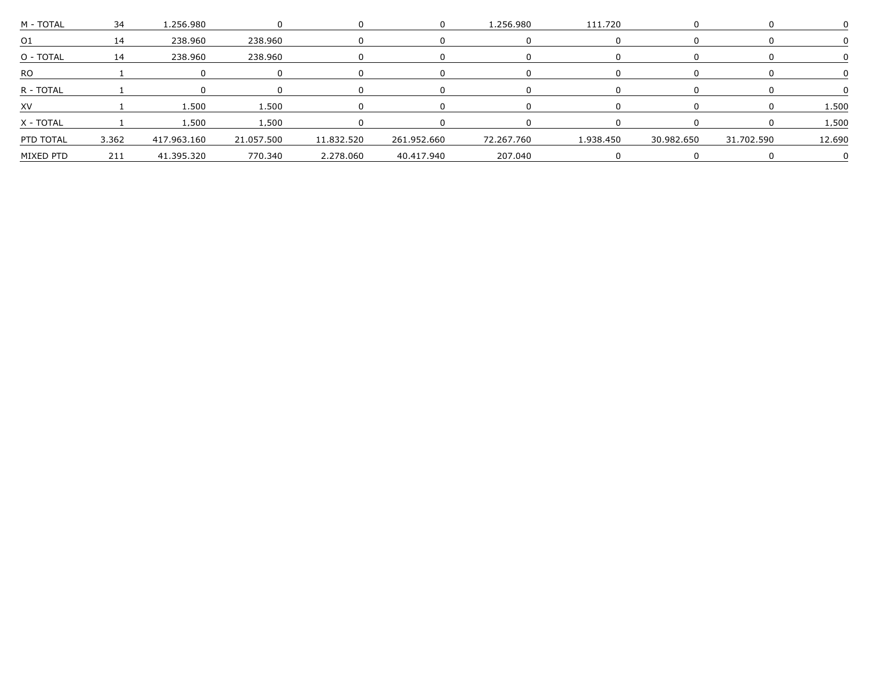|           | 34    |                |                              |            |             | -980       |           |            |            |      |
|-----------|-------|----------------|------------------------------|------------|-------------|------------|-----------|------------|------------|------|
|           |       | 238.960        | 238.960                      |            |             |            |           |            |            |      |
| O - TOTAL | 14    | 238.960        | 238.960                      |            |             |            |           |            |            |      |
| -RO       |       |                |                              |            |             |            |           |            |            |      |
| R - TOTAL |       |                |                              |            |             |            |           |            |            |      |
|           |       | 500            |                              |            |             |            |           |            |            |      |
| X - TOTAI |       | 1 500          |                              |            |             |            |           |            |            | -500 |
| PTD TOTAL | 3,362 | 417,963,160    | 21,057,500                   | 11,832,520 | 261.952.660 | 72.267.760 | 1,938,450 | 30,982,650 | 31 702 590 |      |
| MIXFD PTD |       | 211 41.395.320 | 770.340 2.278.060 40.417.940 |            |             | 207.040    |           |            |            |      |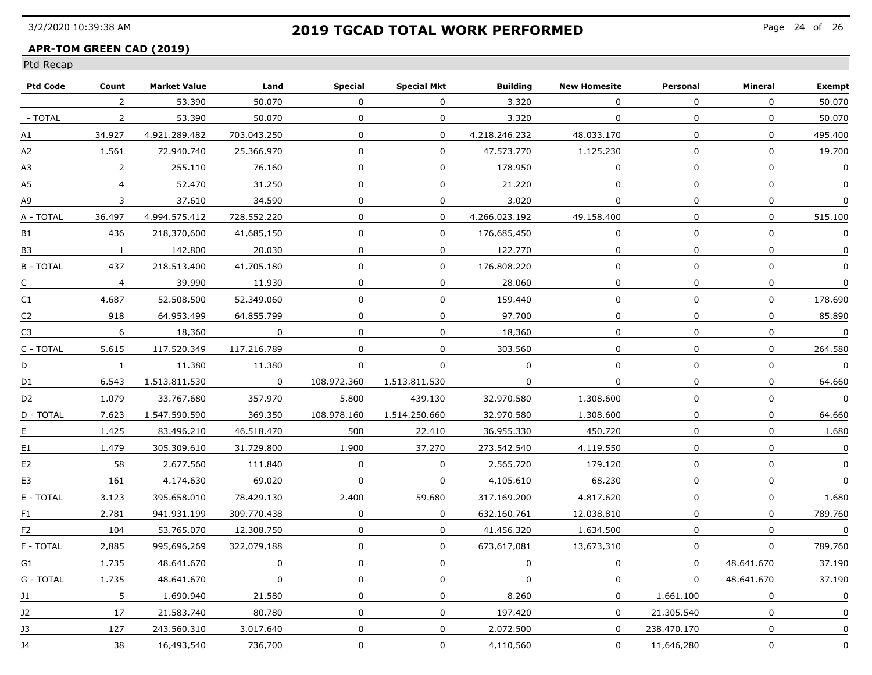### **APR-TOM GREEN CAD (2019)**

| <b>Ptd Code</b> | Count          | <b>Market Value</b> | Land        | Special      | <b>Special Mkt</b> | <b>Building</b> | <b>New Homesite</b> | Personal     | Mineral          | <b>Exempt</b>    |
|-----------------|----------------|---------------------|-------------|--------------|--------------------|-----------------|---------------------|--------------|------------------|------------------|
|                 | $\overline{2}$ | 53.390              | 50.070      | $\Omega$     | 0                  | 3.320           | $\Omega$            | $\Omega$     | 0                | 50.070           |
| - TOTAL         | $\overline{2}$ | 53.390              | 50.070      | $\Omega$     | $\Omega$           | 3.320           | $\Omega$            | $\Omega$     | 0                | 50.070           |
| А1              | 34.927         | 4.921.289.482       | 703.043.250 | $\mathbf 0$  | $\mathbf 0$        | 4.218.246.232   | 48.033.170          | $\Omega$     | $\mathbf 0$      | 495.400          |
| А2              | 1.561          | 72.940.740          | 25.366.970  | $\mathbf 0$  | $\mathbf{0}$       | 47.573.770      | 1.125.230           | $\mathbf{0}$ | 0                | 19.700           |
| А3              | $\overline{2}$ | 255.110             | 76.160      | 0            | 0                  | 178.950         | 0                   | $\Omega$     | $\boldsymbol{0}$ | 0                |
| А5              | $\overline{4}$ | 52,470              | 31,250      | $\mathbf 0$  | 0                  | 21,220          | 0                   | $\mathbf 0$  | $\mathbf 0$      | 0                |
| А9              | 3              | 37.610              | 34,590      | $\mathbf 0$  | 0                  | 3.020           | 0                   | $\mathbf 0$  | $\mathbf 0$      | $\mathbf 0$      |
| A - TOTAL       | 36.497         | 4.994.575.412       | 728.552.220 | $\Omega$     | $\Omega$           | 4.266.023.192   | 49.158.400          | $\Omega$     | $\mathbf{0}$     | 515.100          |
| <b>B1</b>       | 436            | 218.370.600         | 41.685.150  | 0            | $\mathbf{0}$       | 176.685.450     | 0                   | 0            | $\mathbf 0$      | $\mathbf{0}$     |
| <b>B3</b>       | $\mathbf{1}$   | 142.800             | 20.030      | 0            | $\mathbf{0}$       | 122.770         | 0                   | 0            | $\mathbf 0$      | $\Omega$         |
| <b>B-TOTAL</b>  | 437            | 218.513.400         | 41.705.180  | 0            | 0                  | 176.808.220     | 0                   | $\Omega$     | 0                | $\mathbf 0$      |
| C               | $\overline{4}$ | 39.990              | 11.930      | 0            | 0                  | 28.060          | 0                   | 0            | 0                | $\boldsymbol{0}$ |
| C1              | 4.687          | 52.508.500          | 52.349.060  | 0            | $\mathbf{0}$       | 159.440         | 0                   | $\Omega$     | 0                | 178.690          |
| C2              | 918            | 64.953.499          | 64.855.799  | $\mathbf{0}$ | 0                  | 97.700          | 0                   | $\mathbf 0$  | $\mathbf 0$      | 85.890           |
| C3              | 6              | 18,360              | $\mathbf 0$ | $\mathbf 0$  | $\mathbf 0$        | 18,360          | $\mathbf 0$         | $\mathbf 0$  | $\mathbf 0$      | $\overline{0}$   |
| C - TOTAL       | 5.615          | 117.520.349         | 117.216.789 | $\Omega$     | $\mathbf 0$        | 303.560         | $\mathbf 0$         | $\Omega$     | 0                | 264.580          |
| D               | $\mathbf{1}$   | 11.380              | 11.380      | 0            | 0                  | $\mathbf 0$     | 0                   | $\Omega$     | $\pmb{0}$        | $\mathbf{0}$     |
| D1              | 6.543          | 1.513.811.530       | $\Omega$    | 108.972.360  | 1.513.811.530      | $\mathbf 0$     | 0                   | 0            | 0                | 64.660           |
| D <sub>2</sub>  | 1.079          | 33.767.680          | 357.970     | 5.800        | 439.130            | 32.970.580      | 1.308.600           | $\Omega$     | $\mathbf 0$      | $\Omega$         |
| D - TOTAL       | 7.623          | 1.547.590.590       | 369.350     | 108.978.160  | 1.514.250.660      | 32.970.580      | 1.308.600           | $\Omega$     | 0                | 64.660           |
| Ε               | 1.425          | 83,496,210          | 46.518.470  | 500          | 22,410             | 36.955.330      | 450.720             | $\mathbf 0$  | $\mathbf 0$      | 1,680            |
| E1              | 1.479          | 305.309.610         | 31.729.800  | 1,900        | 37,270             | 273.542.540     | 4.119.550           | $\mathbf 0$  | $\mathbf 0$      | $\mathbf 0$      |
| E2              | 58             | 2.677.560           | 111.840     | $\Omega$     | 0                  | 2.565.720       | 179.120             | $\Omega$     | 0                | $\Omega$         |
| E3              | 161            | 4.174.630           | 69.020      | 0            | 0                  | 4.105.610       | 68.230              | 0            | 0                | 0                |
| E - TOTAL       | 3.123          | 395.658.010         | 78.429.130  | 2.400        | 59.680             | 317.169.200     | 4.817.620           | 0            | 0                | 1.680            |
| F1              | 2.781          | 941.931.199         | 309.770.438 | $\Omega$     | $\Omega$           | 632.160.761     | 12.038.810          | $\Omega$     | 0                | 789.760          |
| F2              | 104            | 53.765.070          | 12.308.750  | $\mathbf{0}$ | $\mathbf{0}$       | 41.456.320      | 1.634.500           | $\Omega$     | $\mathbf 0$      | $\overline{0}$   |
| F - TOTAL       | 2.885          | 995.696.269         | 322.079.188 | $\mathbf 0$  | $\overline{0}$     | 673.617.081     | 13,673,310          | 0            | 0                | 789.760          |
| G1              | 1.735          | 48.641.670          | $\mathbf 0$ | $\mathbf 0$  | 0                  | $\mathbf 0$     | $\mathbf 0$         | $\mathbf{0}$ | 48.641.670       | 37.190           |
| G - TOTAL       | 1.735          | 48.641.670          | 0           | $\mathbf 0$  | 0                  | $\mathbf 0$     | 0                   | $\Omega$     | 48.641.670       | 37,190           |
| 11              | 5              | 1.690.940           | 21.580      | 0            | 0                  | 8.260           | $\Omega$            | 1.661.100    | 0                | 0                |
| 12              | 17             | 21.583.740          | 80.780      | $\Omega$     | $\mathbf{0}$       | 197.420         | $\Omega$            | 21.305.540   | $\mathbf 0$      | 0                |
| 13              | 127            | 243.560.310         | 3.017.640   | $\mathbf 0$  | $\mathbf 0$        | 2.072.500       | 0                   | 238.470.170  | $\boldsymbol{0}$ | 0                |
| 14              | 38             | 16.493.540          | 736.700     | 0            | 0                  | 4.110.560       | 0                   | 11.646.280   | 0                | $\Omega$         |